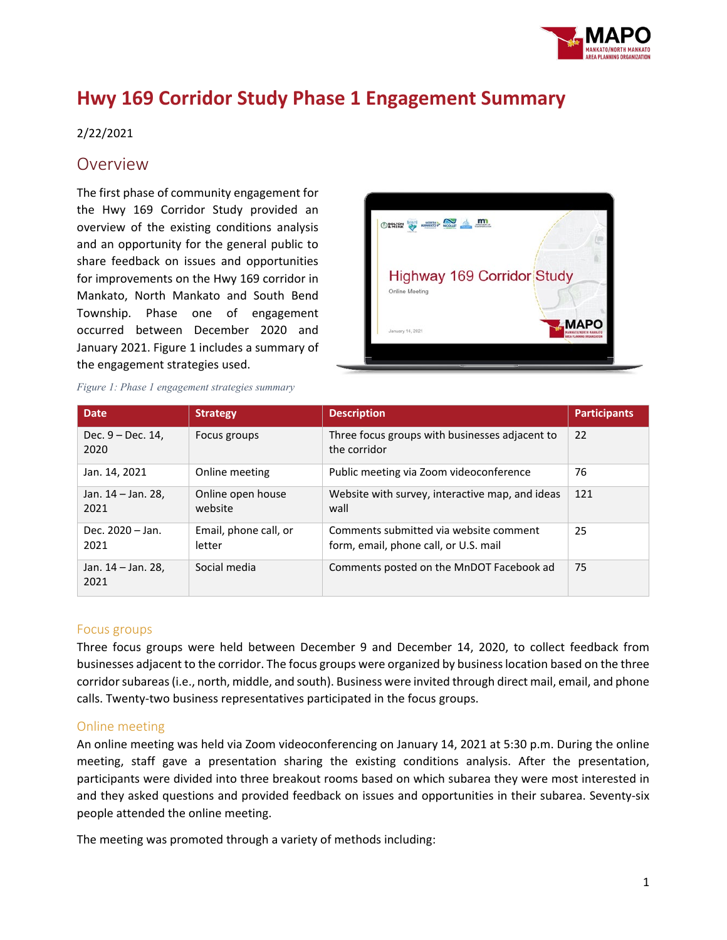

# **Hwy 169 Corridor Study Phase 1 Engagement Summary**

# 2/22/2021

# Overview

The first phase of community engagement for the Hwy 169 Corridor Study provided an overview of the existing conditions analysis and an opportunity for the general public to share feedback on issues and opportunities for improvements on the Hwy 169 corridor in Mankato, North Mankato and South Bend Township. Phase one of engagement occurred between December 2020 and January 2021. Figure 1 includes a summary of the engagement strategies used.



|  |  | Figure 1: Phase 1 engagement strategies summary |  |
|--|--|-------------------------------------------------|--|
|  |  |                                                 |  |

| <b>Date</b>                | <b>Strategy</b>                 | <b>Description</b>                                                              | <b>Participants</b> |
|----------------------------|---------------------------------|---------------------------------------------------------------------------------|---------------------|
| Dec. 9 – Dec. 14,<br>2020  | Focus groups                    | Three focus groups with businesses adjacent to<br>the corridor                  | 22                  |
| Jan. 14, 2021              | Online meeting                  | Public meeting via Zoom videoconference                                         | 76                  |
| Jan. 14 – Jan. 28,<br>2021 | Online open house<br>website    | Website with survey, interactive map, and ideas<br>wall                         | 121                 |
| Dec. 2020 - Jan.<br>2021   | Email, phone call, or<br>letter | Comments submitted via website comment<br>form, email, phone call, or U.S. mail | 25                  |
| Jan. 14 – Jan. 28,<br>2021 | Social media                    | Comments posted on the MnDOT Facebook ad                                        | 75                  |

# Focus groups

Three focus groups were held between December 9 and December 14, 2020, to collect feedback from businesses adjacent to the corridor. The focus groups were organized by business location based on the three corridor subareas(i.e., north, middle, and south). Business were invited through direct mail, email, and phone calls. Twenty-two business representatives participated in the focus groups.

# Online meeting

An online meeting was held via Zoom videoconferencing on January 14, 2021 at 5:30 p.m. During the online meeting, staff gave a presentation sharing the existing conditions analysis. After the presentation, participants were divided into three breakout rooms based on which subarea they were most interested in and they asked questions and provided feedback on issues and opportunities in their subarea. Seventy-six people attended the online meeting.

The meeting was promoted through a variety of methods including: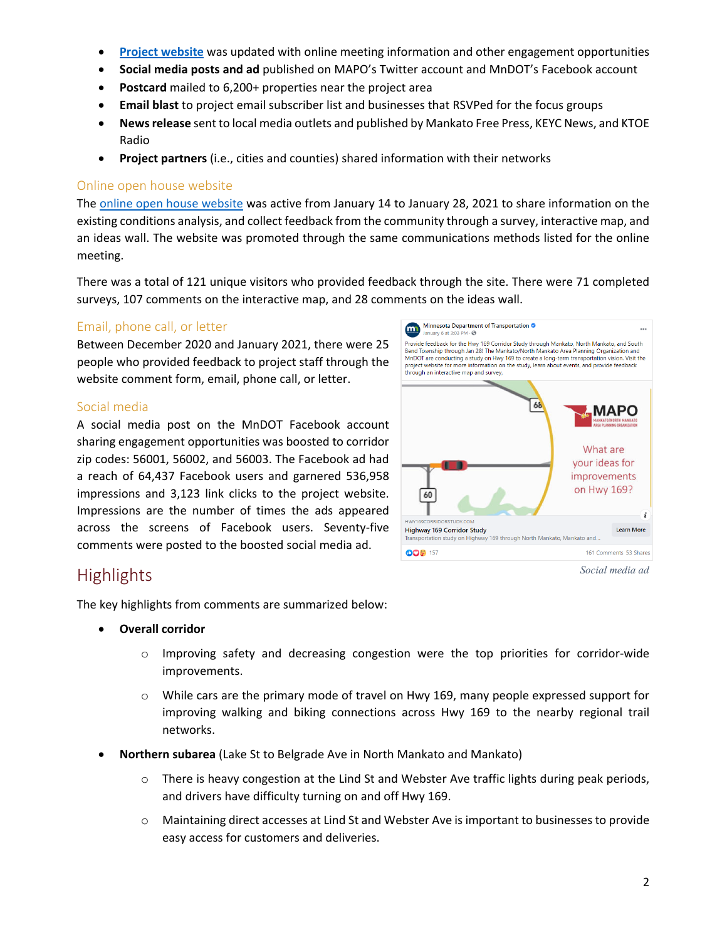- **[Project website](https://www.hwy169corridorstudy.com/)** was updated with online meeting information and other engagement opportunities
- **Social media posts and ad** published on MAPO's Twitter account and MnDOT's Facebook account
- **Postcard** mailed to 6,200+ properties near the project area
- **Email blast** to project email subscriber list and businesses that RSVPed for the focus groups
- **News release** sent to local media outlets and published by Mankato Free Press, KEYC News, and KTOE Radio
- **Project partners** (i.e., cities and counties) shared information with their networks

# Online open house website

The [online open house website](https://zan.mysocialpinpoint.com/hwy169corridorstudy) was active from January 14 to January 28, 2021 to share information on the existing conditions analysis, and collect feedback from the community through a survey, interactive map, and an ideas wall. The website was promoted through the same communications methods listed for the online meeting.

There was a total of 121 unique visitors who provided feedback through the site. There were 71 completed surveys, 107 comments on the interactive map, and 28 comments on the ideas wall.

# Email, phone call, or letter

Between December 2020 and January 2021, there were 25 people who provided feedback to project staff through the website comment form, email, phone call, or letter.

# Social media

A social media post on the MnDOT Facebook account sharing engagement opportunities was boosted to corridor zip codes: 56001, 56002, and 56003. The Facebook ad had a reach of 64,437 Facebook users and garnered 536,958 impressions and 3,123 link clicks to the project website. Impressions are the number of times the ads appeared across the screens of Facebook users. Seventy-five comments were posted to the boosted social media ad.



**Highlights** 

The key highlights from comments are summarized below:

- **Overall corridor**
	- $\circ$  Improving safety and decreasing congestion were the top priorities for corridor-wide improvements.
	- $\circ$  While cars are the primary mode of travel on Hwy 169, many people expressed support for improving walking and biking connections across Hwy 169 to the nearby regional trail networks.
- **Northern subarea** (Lake St to Belgrade Ave in North Mankato and Mankato)
	- $\circ$  There is heavy congestion at the Lind St and Webster Ave traffic lights during peak periods, and drivers have difficulty turning on and off Hwy 169.
	- o Maintaining direct accesses at Lind St and Webster Ave is important to businesses to provide easy access for customers and deliveries.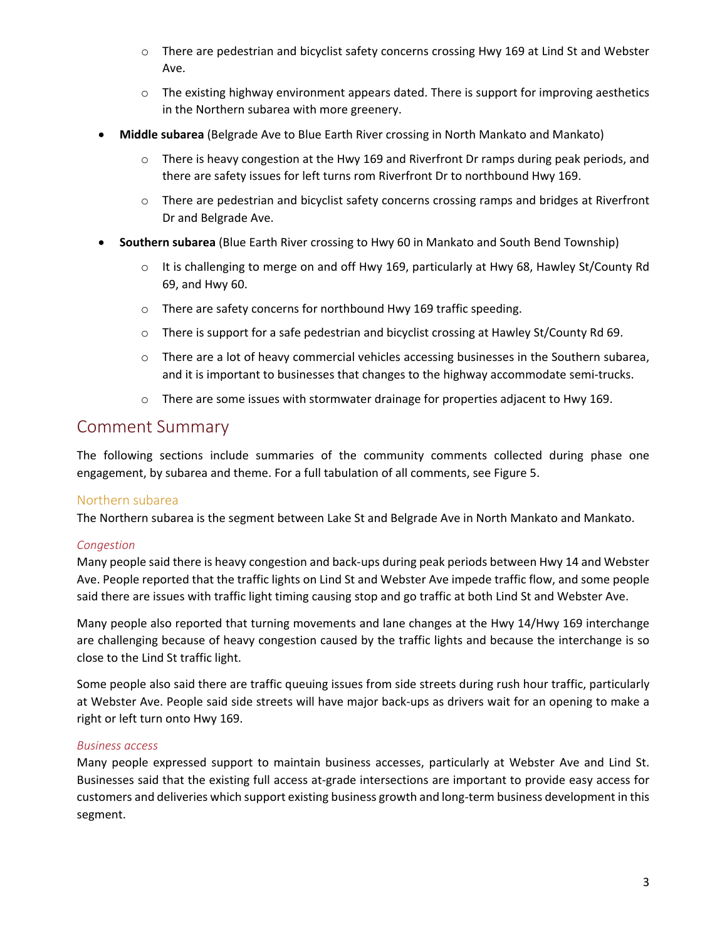- o There are pedestrian and bicyclist safety concerns crossing Hwy 169 at Lind St and Webster Ave.
- $\circ$  The existing highway environment appears dated. There is support for improving aesthetics in the Northern subarea with more greenery.
- **Middle subarea** (Belgrade Ave to Blue Earth River crossing in North Mankato and Mankato)
	- $\circ$  There is heavy congestion at the Hwy 169 and Riverfront Dr ramps during peak periods, and there are safety issues for left turns rom Riverfront Dr to northbound Hwy 169.
	- $\circ$  There are pedestrian and bicyclist safety concerns crossing ramps and bridges at Riverfront Dr and Belgrade Ave.
- **Southern subarea** (Blue Earth River crossing to Hwy 60 in Mankato and South Bend Township)
	- $\circ$  It is challenging to merge on and off Hwy 169, particularly at Hwy 68, Hawley St/County Rd 69, and Hwy 60.
	- o There are safety concerns for northbound Hwy 169 traffic speeding.
	- o There is support for a safe pedestrian and bicyclist crossing at Hawley St/County Rd 69.
	- o There are a lot of heavy commercial vehicles accessing businesses in the Southern subarea, and it is important to businesses that changes to the highway accommodate semi-trucks.
	- $\circ$  There are some issues with stormwater drainage for properties adjacent to Hwy 169.

# Comment Summary

The following sections include summaries of the community comments collected during phase one engagement, by subarea and theme. For a full tabulation of all comments, see Figure 5.

# Northern subarea

The Northern subarea is the segment between Lake St and Belgrade Ave in North Mankato and Mankato.

# *Congestion*

Many people said there is heavy congestion and back-ups during peak periods between Hwy 14 and Webster Ave. People reported that the traffic lights on Lind St and Webster Ave impede traffic flow, and some people said there are issues with traffic light timing causing stop and go traffic at both Lind St and Webster Ave.

Many people also reported that turning movements and lane changes at the Hwy 14/Hwy 169 interchange are challenging because of heavy congestion caused by the traffic lights and because the interchange is so close to the Lind St traffic light.

Some people also said there are traffic queuing issues from side streets during rush hour traffic, particularly at Webster Ave. People said side streets will have major back-ups as drivers wait for an opening to make a right or left turn onto Hwy 169.

# *Business access*

Many people expressed support to maintain business accesses, particularly at Webster Ave and Lind St. Businesses said that the existing full access at-grade intersections are important to provide easy access for customers and deliveries which support existing business growth and long-term business development in this segment.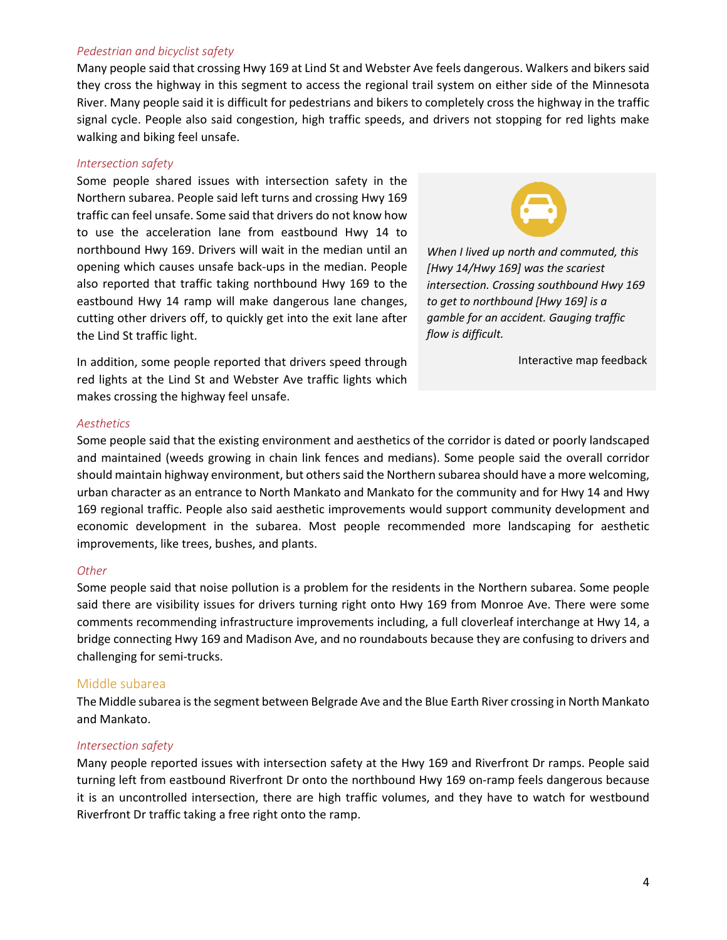#### *Pedestrian and bicyclist safety*

Many people said that crossing Hwy 169 at Lind St and Webster Ave feels dangerous. Walkers and bikers said they cross the highway in this segment to access the regional trail system on either side of the Minnesota River. Many people said it is difficult for pedestrians and bikers to completely cross the highway in the traffic signal cycle. People also said congestion, high traffic speeds, and drivers not stopping for red lights make walking and biking feel unsafe.

#### *Intersection safety*

Some people shared issues with intersection safety in the Northern subarea. People said left turns and crossing Hwy 169 traffic can feel unsafe. Some said that drivers do not know how to use the acceleration lane from eastbound Hwy 14 to northbound Hwy 169. Drivers will wait in the median until an opening which causes unsafe back-ups in the median. People also reported that traffic taking northbound Hwy 169 to the eastbound Hwy 14 ramp will make dangerous lane changes, cutting other drivers off, to quickly get into the exit lane after the Lind St traffic light.



*When I lived up north and commuted, this [Hwy 14/Hwy 169] was the scariest intersection. Crossing southbound Hwy 169 to get to northbound [Hwy 169] is a gamble for an accident. Gauging traffic flow is difficult.*

Interactive map feedback

In addition, some people reported that drivers speed through red lights at the Lind St and Webster Ave traffic lights which makes crossing the highway feel unsafe.

#### *Aesthetics*

Some people said that the existing environment and aesthetics of the corridor is dated or poorly landscaped and maintained (weeds growing in chain link fences and medians). Some people said the overall corridor should maintain highway environment, but others said the Northern subarea should have a more welcoming, urban character as an entrance to North Mankato and Mankato for the community and for Hwy 14 and Hwy 169 regional traffic. People also said aesthetic improvements would support community development and economic development in the subarea. Most people recommended more landscaping for aesthetic improvements, like trees, bushes, and plants.

#### *Other*

Some people said that noise pollution is a problem for the residents in the Northern subarea. Some people said there are visibility issues for drivers turning right onto Hwy 169 from Monroe Ave. There were some comments recommending infrastructure improvements including, a full cloverleaf interchange at Hwy 14, a bridge connecting Hwy 169 and Madison Ave, and no roundabouts because they are confusing to drivers and challenging for semi-trucks.

# Middle subarea

The Middle subarea is the segment between Belgrade Ave and the Blue Earth River crossing in North Mankato and Mankato.

# *Intersection safety*

Many people reported issues with intersection safety at the Hwy 169 and Riverfront Dr ramps. People said turning left from eastbound Riverfront Dr onto the northbound Hwy 169 on-ramp feels dangerous because it is an uncontrolled intersection, there are high traffic volumes, and they have to watch for westbound Riverfront Dr traffic taking a free right onto the ramp.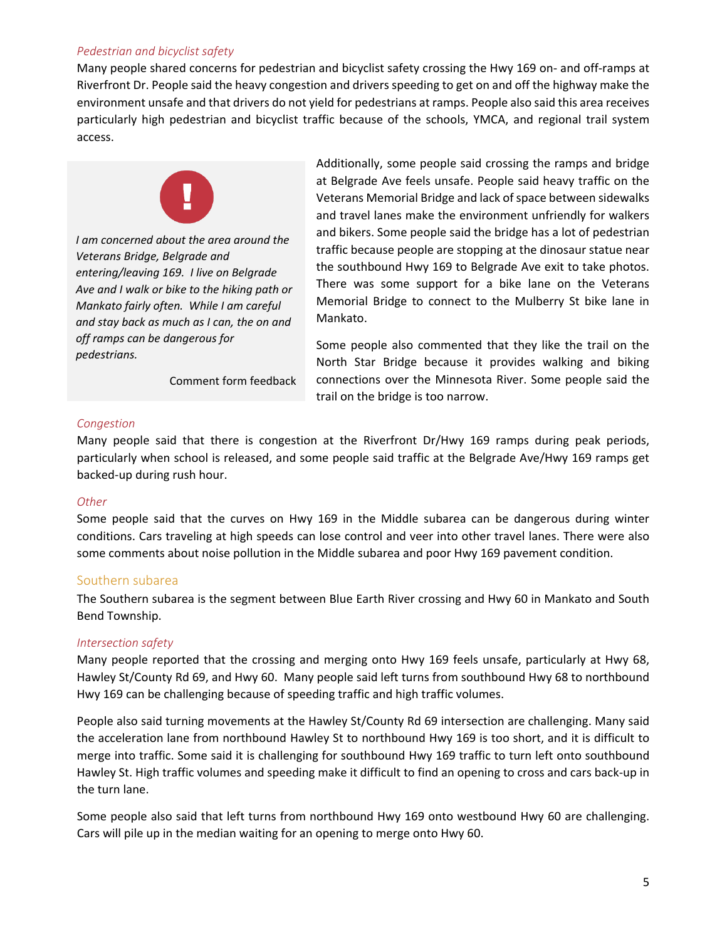# *Pedestrian and bicyclist safety*

Many people shared concerns for pedestrian and bicyclist safety crossing the Hwy 169 on- and off-ramps at Riverfront Dr. People said the heavy congestion and drivers speeding to get on and off the highway make the environment unsafe and that drivers do not yield for pedestrians at ramps. People also said this area receives particularly high pedestrian and bicyclist traffic because of the schools, YMCA, and regional trail system access.



*I am concerned about the area around the Veterans Bridge, Belgrade and entering/leaving 169. I live on Belgrade Ave and I walk or bike to the hiking path or Mankato fairly often. While I am careful and stay back as much as I can, the on and off ramps can be dangerous for pedestrians.*

Comment form feedback

Additionally, some people said crossing the ramps and bridge at Belgrade Ave feels unsafe. People said heavy traffic on the Veterans Memorial Bridge and lack of space between sidewalks and travel lanes make the environment unfriendly for walkers and bikers. Some people said the bridge has a lot of pedestrian traffic because people are stopping at the dinosaur statue near the southbound Hwy 169 to Belgrade Ave exit to take photos. There was some support for a bike lane on the Veterans Memorial Bridge to connect to the Mulberry St bike lane in Mankato.

Some people also commented that they like the trail on the North Star Bridge because it provides walking and biking connections over the Minnesota River. Some people said the trail on the bridge is too narrow.

# *Congestion*

Many people said that there is congestion at the Riverfront Dr/Hwy 169 ramps during peak periods, particularly when school is released, and some people said traffic at the Belgrade Ave/Hwy 169 ramps get backed-up during rush hour.

# *Other*

Some people said that the curves on Hwy 169 in the Middle subarea can be dangerous during winter conditions. Cars traveling at high speeds can lose control and veer into other travel lanes. There were also some comments about noise pollution in the Middle subarea and poor Hwy 169 pavement condition.

# Southern subarea

The Southern subarea is the segment between Blue Earth River crossing and Hwy 60 in Mankato and South Bend Township.

# *Intersection safety*

Many people reported that the crossing and merging onto Hwy 169 feels unsafe, particularly at Hwy 68, Hawley St/County Rd 69, and Hwy 60. Many people said left turns from southbound Hwy 68 to northbound Hwy 169 can be challenging because of speeding traffic and high traffic volumes.

People also said turning movements at the Hawley St/County Rd 69 intersection are challenging. Many said the acceleration lane from northbound Hawley St to northbound Hwy 169 is too short, and it is difficult to merge into traffic. Some said it is challenging for southbound Hwy 169 traffic to turn left onto southbound Hawley St. High traffic volumes and speeding make it difficult to find an opening to cross and cars back-up in the turn lane.

Some people also said that left turns from northbound Hwy 169 onto westbound Hwy 60 are challenging. Cars will pile up in the median waiting for an opening to merge onto Hwy 60.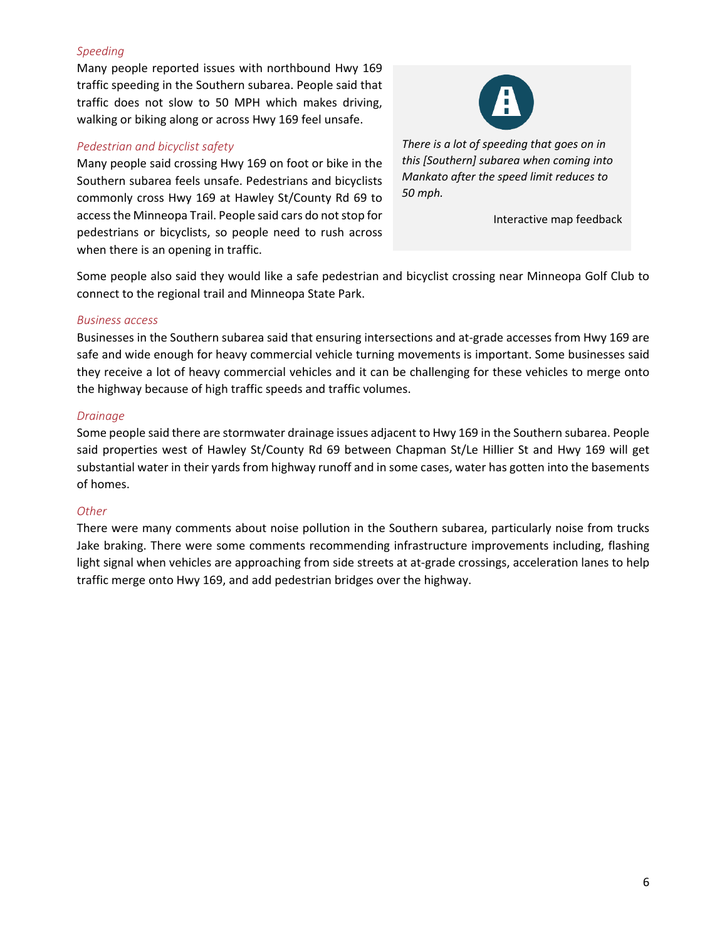# *Speeding*

Many people reported issues with northbound Hwy 169 traffic speeding in the Southern subarea. People said that traffic does not slow to 50 MPH which makes driving, walking or biking along or across Hwy 169 feel unsafe.

# *Pedestrian and bicyclist safety*

Many people said crossing Hwy 169 on foot or bike in the Southern subarea feels unsafe. Pedestrians and bicyclists commonly cross Hwy 169 at Hawley St/County Rd 69 to access the Minneopa Trail. People said cars do not stop for pedestrians or bicyclists, so people need to rush across when there is an opening in traffic.



*There is a lot of speeding that goes on in this [Southern] subarea when coming into Mankato after the speed limit reduces to 50 mph.*

Interactive map feedback

Some people also said they would like a safe pedestrian and bicyclist crossing near Minneopa Golf Club to connect to the regional trail and Minneopa State Park.

# *Business access*

Businesses in the Southern subarea said that ensuring intersections and at-grade accesses from Hwy 169 are safe and wide enough for heavy commercial vehicle turning movements is important. Some businesses said they receive a lot of heavy commercial vehicles and it can be challenging for these vehicles to merge onto the highway because of high traffic speeds and traffic volumes.

# *Drainage*

Some people said there are stormwater drainage issues adjacent to Hwy 169 in the Southern subarea. People said properties west of Hawley St/County Rd 69 between Chapman St/Le Hillier St and Hwy 169 will get substantial water in their yards from highway runoff and in some cases, water has gotten into the basements of homes.

# *Other*

There were many comments about noise pollution in the Southern subarea, particularly noise from trucks Jake braking. There were some comments recommending infrastructure improvements including, flashing light signal when vehicles are approaching from side streets at at-grade crossings, acceleration lanes to help traffic merge onto Hwy 169, and add pedestrian bridges over the highway.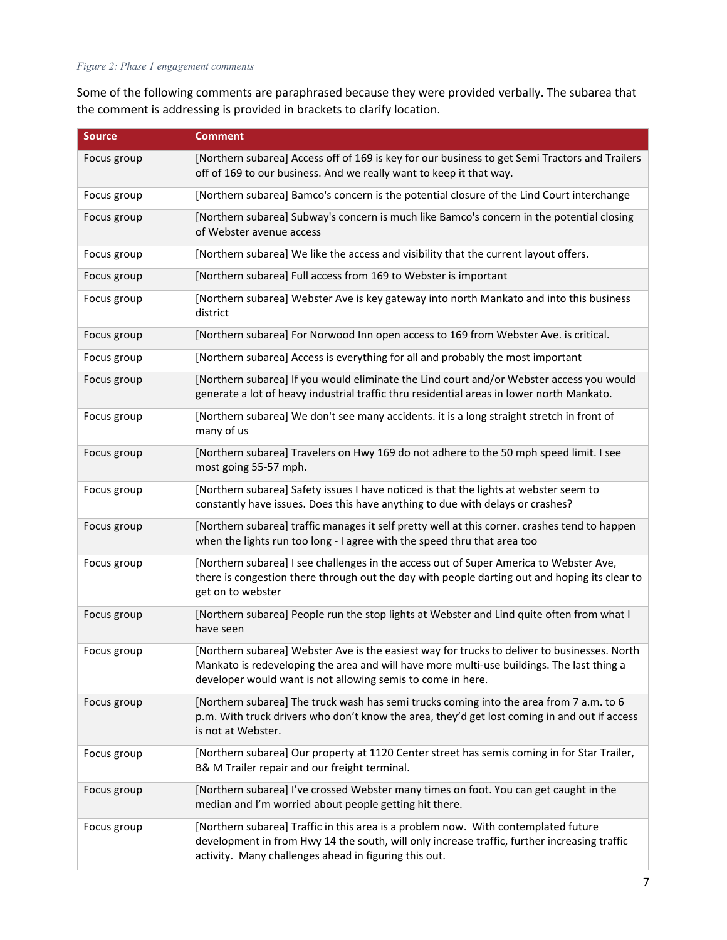#### *Figure 2: Phase 1 engagement comments*

Some of the following comments are paraphrased because they were provided verbally. The subarea that the comment is addressing is provided in brackets to clarify location.

| <b>Source</b> | <b>Comment</b>                                                                                                                                                                                                                                           |
|---------------|----------------------------------------------------------------------------------------------------------------------------------------------------------------------------------------------------------------------------------------------------------|
| Focus group   | [Northern subarea] Access off of 169 is key for our business to get Semi Tractors and Trailers<br>off of 169 to our business. And we really want to keep it that way.                                                                                    |
| Focus group   | [Northern subarea] Bamco's concern is the potential closure of the Lind Court interchange                                                                                                                                                                |
| Focus group   | [Northern subarea] Subway's concern is much like Bamco's concern in the potential closing<br>of Webster avenue access                                                                                                                                    |
| Focus group   | [Northern subarea] We like the access and visibility that the current layout offers.                                                                                                                                                                     |
| Focus group   | [Northern subarea] Full access from 169 to Webster is important                                                                                                                                                                                          |
| Focus group   | [Northern subarea] Webster Ave is key gateway into north Mankato and into this business<br>district                                                                                                                                                      |
| Focus group   | [Northern subarea] For Norwood Inn open access to 169 from Webster Ave. is critical.                                                                                                                                                                     |
| Focus group   | [Northern subarea] Access is everything for all and probably the most important                                                                                                                                                                          |
| Focus group   | [Northern subarea] If you would eliminate the Lind court and/or Webster access you would<br>generate a lot of heavy industrial traffic thru residential areas in lower north Mankato.                                                                    |
| Focus group   | [Northern subarea] We don't see many accidents. it is a long straight stretch in front of<br>many of us                                                                                                                                                  |
| Focus group   | [Northern subarea] Travelers on Hwy 169 do not adhere to the 50 mph speed limit. I see<br>most going 55-57 mph.                                                                                                                                          |
| Focus group   | [Northern subarea] Safety issues I have noticed is that the lights at webster seem to<br>constantly have issues. Does this have anything to due with delays or crashes?                                                                                  |
| Focus group   | [Northern subarea] traffic manages it self pretty well at this corner. crashes tend to happen<br>when the lights run too long - I agree with the speed thru that area too                                                                                |
| Focus group   | [Northern subarea] I see challenges in the access out of Super America to Webster Ave,<br>there is congestion there through out the day with people darting out and hoping its clear to<br>get on to webster                                             |
| Focus group   | [Northern subarea] People run the stop lights at Webster and Lind quite often from what I<br>have seen                                                                                                                                                   |
| Focus group   | [Northern subarea] Webster Ave is the easiest way for trucks to deliver to businesses. North<br>Mankato is redeveloping the area and will have more multi-use buildings. The last thing a<br>developer would want is not allowing semis to come in here. |
| Focus group   | [Northern subarea] The truck wash has semi trucks coming into the area from 7 a.m. to 6<br>p.m. With truck drivers who don't know the area, they'd get lost coming in and out if access<br>is not at Webster.                                            |
| Focus group   | [Northern subarea] Our property at 1120 Center street has semis coming in for Star Trailer,<br>B& M Trailer repair and our freight terminal.                                                                                                             |
| Focus group   | [Northern subarea] I've crossed Webster many times on foot. You can get caught in the<br>median and I'm worried about people getting hit there.                                                                                                          |
| Focus group   | [Northern subarea] Traffic in this area is a problem now. With contemplated future<br>development in from Hwy 14 the south, will only increase traffic, further increasing traffic<br>activity. Many challenges ahead in figuring this out.              |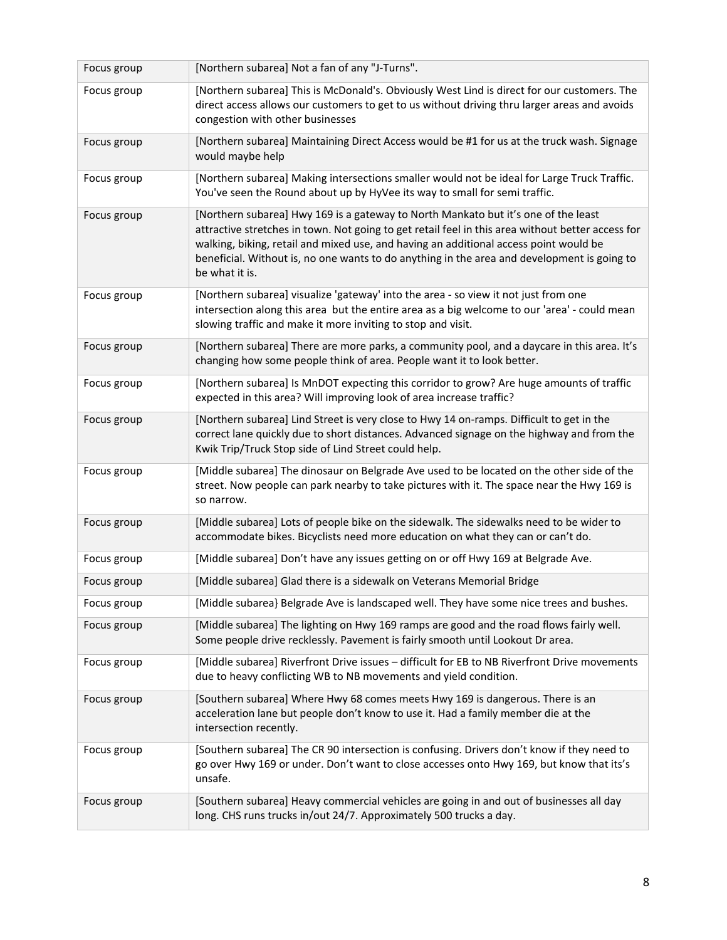| Focus group | [Northern subarea] Not a fan of any "J-Turns".                                                                                                                                                                                                                                                                                                                                                    |
|-------------|---------------------------------------------------------------------------------------------------------------------------------------------------------------------------------------------------------------------------------------------------------------------------------------------------------------------------------------------------------------------------------------------------|
| Focus group | [Northern subarea] This is McDonald's. Obviously West Lind is direct for our customers. The<br>direct access allows our customers to get to us without driving thru larger areas and avoids<br>congestion with other businesses                                                                                                                                                                   |
| Focus group | [Northern subarea] Maintaining Direct Access would be #1 for us at the truck wash. Signage<br>would maybe help                                                                                                                                                                                                                                                                                    |
| Focus group | [Northern subarea] Making intersections smaller would not be ideal for Large Truck Traffic.<br>You've seen the Round about up by HyVee its way to small for semi traffic.                                                                                                                                                                                                                         |
| Focus group | [Northern subarea] Hwy 169 is a gateway to North Mankato but it's one of the least<br>attractive stretches in town. Not going to get retail feel in this area without better access for<br>walking, biking, retail and mixed use, and having an additional access point would be<br>beneficial. Without is, no one wants to do anything in the area and development is going to<br>be what it is. |
| Focus group | [Northern subarea] visualize 'gateway' into the area - so view it not just from one<br>intersection along this area but the entire area as a big welcome to our 'area' - could mean<br>slowing traffic and make it more inviting to stop and visit.                                                                                                                                               |
| Focus group | [Northern subarea] There are more parks, a community pool, and a daycare in this area. It's<br>changing how some people think of area. People want it to look better.                                                                                                                                                                                                                             |
| Focus group | [Northern subarea] Is MnDOT expecting this corridor to grow? Are huge amounts of traffic<br>expected in this area? Will improving look of area increase traffic?                                                                                                                                                                                                                                  |
| Focus group | [Northern subarea] Lind Street is very close to Hwy 14 on-ramps. Difficult to get in the<br>correct lane quickly due to short distances. Advanced signage on the highway and from the<br>Kwik Trip/Truck Stop side of Lind Street could help.                                                                                                                                                     |
| Focus group | [Middle subarea] The dinosaur on Belgrade Ave used to be located on the other side of the<br>street. Now people can park nearby to take pictures with it. The space near the Hwy 169 is<br>so narrow.                                                                                                                                                                                             |
| Focus group | [Middle subarea] Lots of people bike on the sidewalk. The sidewalks need to be wider to<br>accommodate bikes. Bicyclists need more education on what they can or can't do.                                                                                                                                                                                                                        |
| Focus group | [Middle subarea] Don't have any issues getting on or off Hwy 169 at Belgrade Ave.                                                                                                                                                                                                                                                                                                                 |
| Focus group | [Middle subarea] Glad there is a sidewalk on Veterans Memorial Bridge                                                                                                                                                                                                                                                                                                                             |
| Focus group | [Middle subarea] Belgrade Ave is landscaped well. They have some nice trees and bushes.                                                                                                                                                                                                                                                                                                           |
| Focus group | [Middle subarea] The lighting on Hwy 169 ramps are good and the road flows fairly well.<br>Some people drive recklessly. Pavement is fairly smooth until Lookout Dr area.                                                                                                                                                                                                                         |
| Focus group | [Middle subarea] Riverfront Drive issues - difficult for EB to NB Riverfront Drive movements<br>due to heavy conflicting WB to NB movements and yield condition.                                                                                                                                                                                                                                  |
| Focus group | [Southern subarea] Where Hwy 68 comes meets Hwy 169 is dangerous. There is an<br>acceleration lane but people don't know to use it. Had a family member die at the<br>intersection recently.                                                                                                                                                                                                      |
| Focus group | [Southern subarea] The CR 90 intersection is confusing. Drivers don't know if they need to<br>go over Hwy 169 or under. Don't want to close accesses onto Hwy 169, but know that its's<br>unsafe.                                                                                                                                                                                                 |
| Focus group | [Southern subarea] Heavy commercial vehicles are going in and out of businesses all day<br>long. CHS runs trucks in/out 24/7. Approximately 500 trucks a day.                                                                                                                                                                                                                                     |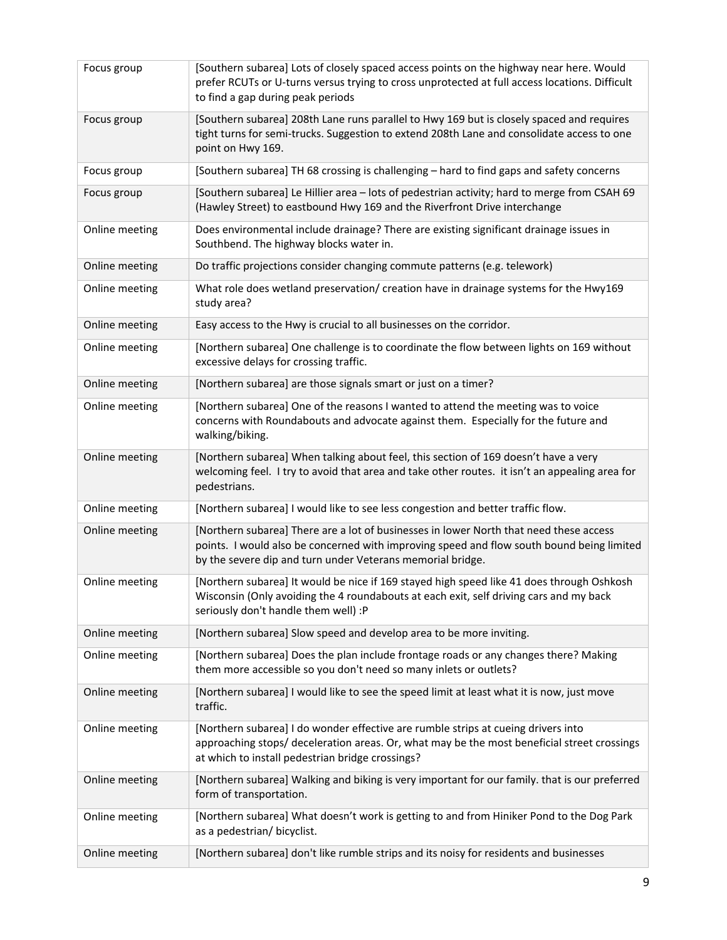| Focus group    | [Southern subarea] Lots of closely spaced access points on the highway near here. Would<br>prefer RCUTs or U-turns versus trying to cross unprotected at full access locations. Difficult<br>to find a gap during peak periods                    |
|----------------|---------------------------------------------------------------------------------------------------------------------------------------------------------------------------------------------------------------------------------------------------|
| Focus group    | [Southern subarea] 208th Lane runs parallel to Hwy 169 but is closely spaced and requires<br>tight turns for semi-trucks. Suggestion to extend 208th Lane and consolidate access to one<br>point on Hwy 169.                                      |
| Focus group    | [Southern subarea] TH 68 crossing is challenging - hard to find gaps and safety concerns                                                                                                                                                          |
| Focus group    | [Southern subarea] Le Hillier area - lots of pedestrian activity; hard to merge from CSAH 69<br>(Hawley Street) to eastbound Hwy 169 and the Riverfront Drive interchange                                                                         |
| Online meeting | Does environmental include drainage? There are existing significant drainage issues in<br>Southbend. The highway blocks water in.                                                                                                                 |
| Online meeting | Do traffic projections consider changing commute patterns (e.g. telework)                                                                                                                                                                         |
| Online meeting | What role does wetland preservation/ creation have in drainage systems for the Hwy169<br>study area?                                                                                                                                              |
| Online meeting | Easy access to the Hwy is crucial to all businesses on the corridor.                                                                                                                                                                              |
| Online meeting | [Northern subarea] One challenge is to coordinate the flow between lights on 169 without<br>excessive delays for crossing traffic.                                                                                                                |
| Online meeting | [Northern subarea] are those signals smart or just on a timer?                                                                                                                                                                                    |
| Online meeting | [Northern subarea] One of the reasons I wanted to attend the meeting was to voice<br>concerns with Roundabouts and advocate against them. Especially for the future and<br>walking/biking.                                                        |
| Online meeting | [Northern subarea] When talking about feel, this section of 169 doesn't have a very<br>welcoming feel. I try to avoid that area and take other routes. it isn't an appealing area for<br>pedestrians.                                             |
| Online meeting | [Northern subarea] I would like to see less congestion and better traffic flow.                                                                                                                                                                   |
| Online meeting | [Northern subarea] There are a lot of businesses in lower North that need these access<br>points. I would also be concerned with improving speed and flow south bound being limited<br>by the severe dip and turn under Veterans memorial bridge. |
| Online meeting | [Northern subarea] It would be nice if 169 stayed high speed like 41 does through Oshkosh<br>Wisconsin (Only avoiding the 4 roundabouts at each exit, self driving cars and my back<br>seriously don't handle them well) :P                       |
| Online meeting | [Northern subarea] Slow speed and develop area to be more inviting.                                                                                                                                                                               |
| Online meeting | [Northern subarea] Does the plan include frontage roads or any changes there? Making<br>them more accessible so you don't need so many inlets or outlets?                                                                                         |
| Online meeting | [Northern subarea] I would like to see the speed limit at least what it is now, just move<br>traffic.                                                                                                                                             |
| Online meeting | [Northern subarea] I do wonder effective are rumble strips at cueing drivers into<br>approaching stops/ deceleration areas. Or, what may be the most beneficial street crossings<br>at which to install pedestrian bridge crossings?              |
| Online meeting | [Northern subarea] Walking and biking is very important for our family. that is our preferred<br>form of transportation.                                                                                                                          |
| Online meeting | [Northern subarea] What doesn't work is getting to and from Hiniker Pond to the Dog Park<br>as a pedestrian/ bicyclist.                                                                                                                           |
| Online meeting | [Northern subarea] don't like rumble strips and its noisy for residents and businesses                                                                                                                                                            |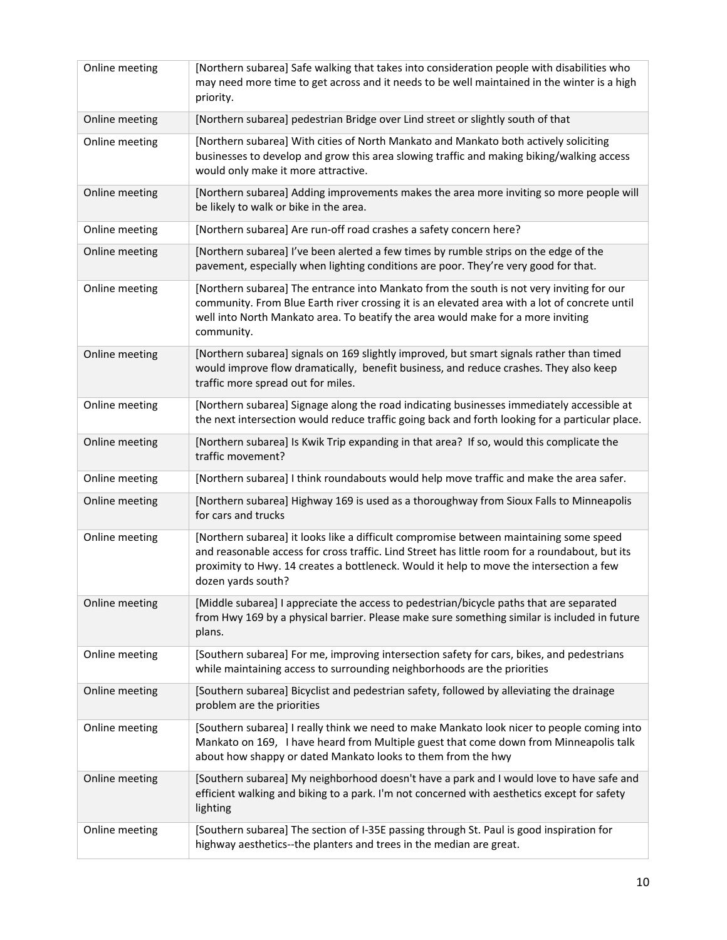| Online meeting | [Northern subarea] Safe walking that takes into consideration people with disabilities who<br>may need more time to get across and it needs to be well maintained in the winter is a high<br>priority.                                                                                                    |
|----------------|-----------------------------------------------------------------------------------------------------------------------------------------------------------------------------------------------------------------------------------------------------------------------------------------------------------|
| Online meeting | [Northern subarea] pedestrian Bridge over Lind street or slightly south of that                                                                                                                                                                                                                           |
| Online meeting | [Northern subarea] With cities of North Mankato and Mankato both actively soliciting<br>businesses to develop and grow this area slowing traffic and making biking/walking access<br>would only make it more attractive.                                                                                  |
| Online meeting | [Northern subarea] Adding improvements makes the area more inviting so more people will<br>be likely to walk or bike in the area.                                                                                                                                                                         |
| Online meeting | [Northern subarea] Are run-off road crashes a safety concern here?                                                                                                                                                                                                                                        |
| Online meeting | [Northern subarea] I've been alerted a few times by rumble strips on the edge of the<br>pavement, especially when lighting conditions are poor. They're very good for that.                                                                                                                               |
| Online meeting | [Northern subarea] The entrance into Mankato from the south is not very inviting for our<br>community. From Blue Earth river crossing it is an elevated area with a lot of concrete until<br>well into North Mankato area. To beatify the area would make for a more inviting<br>community.               |
| Online meeting | [Northern subarea] signals on 169 slightly improved, but smart signals rather than timed<br>would improve flow dramatically, benefit business, and reduce crashes. They also keep<br>traffic more spread out for miles.                                                                                   |
| Online meeting | [Northern subarea] Signage along the road indicating businesses immediately accessible at<br>the next intersection would reduce traffic going back and forth looking for a particular place.                                                                                                              |
| Online meeting | [Northern subarea] Is Kwik Trip expanding in that area? If so, would this complicate the<br>traffic movement?                                                                                                                                                                                             |
| Online meeting | [Northern subarea] I think roundabouts would help move traffic and make the area safer.                                                                                                                                                                                                                   |
| Online meeting | [Northern subarea] Highway 169 is used as a thoroughway from Sioux Falls to Minneapolis<br>for cars and trucks                                                                                                                                                                                            |
| Online meeting | [Northern subarea] it looks like a difficult compromise between maintaining some speed<br>and reasonable access for cross traffic. Lind Street has little room for a roundabout, but its<br>proximity to Hwy. 14 creates a bottleneck. Would it help to move the intersection a few<br>dozen yards south? |
| Online meeting | [Middle subarea] I appreciate the access to pedestrian/bicycle paths that are separated<br>from Hwy 169 by a physical barrier. Please make sure something similar is included in future<br>plans.                                                                                                         |
| Online meeting | [Southern subarea] For me, improving intersection safety for cars, bikes, and pedestrians<br>while maintaining access to surrounding neighborhoods are the priorities                                                                                                                                     |
| Online meeting | [Southern subarea] Bicyclist and pedestrian safety, followed by alleviating the drainage<br>problem are the priorities                                                                                                                                                                                    |
| Online meeting | [Southern subarea] I really think we need to make Mankato look nicer to people coming into<br>Mankato on 169, I have heard from Multiple guest that come down from Minneapolis talk<br>about how shappy or dated Mankato looks to them from the hwy                                                       |
| Online meeting | [Southern subarea] My neighborhood doesn't have a park and I would love to have safe and<br>efficient walking and biking to a park. I'm not concerned with aesthetics except for safety<br>lighting                                                                                                       |
| Online meeting | [Southern subarea] The section of I-35E passing through St. Paul is good inspiration for<br>highway aesthetics--the planters and trees in the median are great.                                                                                                                                           |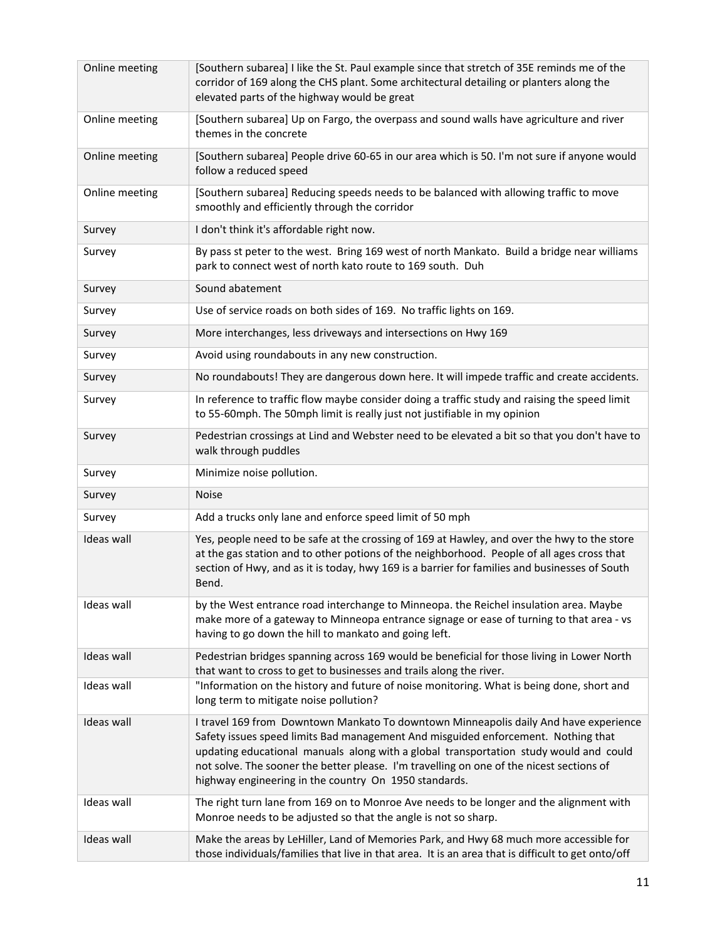| Online meeting | [Southern subarea] I like the St. Paul example since that stretch of 35E reminds me of the<br>corridor of 169 along the CHS plant. Some architectural detailing or planters along the<br>elevated parts of the highway would be great                                                                                                                                                                                   |
|----------------|-------------------------------------------------------------------------------------------------------------------------------------------------------------------------------------------------------------------------------------------------------------------------------------------------------------------------------------------------------------------------------------------------------------------------|
| Online meeting | [Southern subarea] Up on Fargo, the overpass and sound walls have agriculture and river<br>themes in the concrete                                                                                                                                                                                                                                                                                                       |
| Online meeting | [Southern subarea] People drive 60-65 in our area which is 50. I'm not sure if anyone would<br>follow a reduced speed                                                                                                                                                                                                                                                                                                   |
| Online meeting | [Southern subarea] Reducing speeds needs to be balanced with allowing traffic to move<br>smoothly and efficiently through the corridor                                                                                                                                                                                                                                                                                  |
| Survey         | I don't think it's affordable right now.                                                                                                                                                                                                                                                                                                                                                                                |
| Survey         | By pass st peter to the west. Bring 169 west of north Mankato. Build a bridge near williams<br>park to connect west of north kato route to 169 south. Duh                                                                                                                                                                                                                                                               |
| Survey         | Sound abatement                                                                                                                                                                                                                                                                                                                                                                                                         |
| Survey         | Use of service roads on both sides of 169. No traffic lights on 169.                                                                                                                                                                                                                                                                                                                                                    |
| Survey         | More interchanges, less driveways and intersections on Hwy 169                                                                                                                                                                                                                                                                                                                                                          |
| Survey         | Avoid using roundabouts in any new construction.                                                                                                                                                                                                                                                                                                                                                                        |
| Survey         | No roundabouts! They are dangerous down here. It will impede traffic and create accidents.                                                                                                                                                                                                                                                                                                                              |
| Survey         | In reference to traffic flow maybe consider doing a traffic study and raising the speed limit<br>to 55-60mph. The 50mph limit is really just not justifiable in my opinion                                                                                                                                                                                                                                              |
| Survey         | Pedestrian crossings at Lind and Webster need to be elevated a bit so that you don't have to<br>walk through puddles                                                                                                                                                                                                                                                                                                    |
| Survey         | Minimize noise pollution.                                                                                                                                                                                                                                                                                                                                                                                               |
| Survey         | <b>Noise</b>                                                                                                                                                                                                                                                                                                                                                                                                            |
| Survey         | Add a trucks only lane and enforce speed limit of 50 mph                                                                                                                                                                                                                                                                                                                                                                |
| Ideas wall     | Yes, people need to be safe at the crossing of 169 at Hawley, and over the hwy to the store<br>at the gas station and to other potions of the neighborhood. People of all ages cross that<br>section of Hwy, and as it is today, hwy 169 is a barrier for families and businesses of South<br>Bend.                                                                                                                     |
| Ideas wall     | by the West entrance road interchange to Minneopa. the Reichel insulation area. Maybe<br>make more of a gateway to Minneopa entrance signage or ease of turning to that area - vs                                                                                                                                                                                                                                       |
|                | having to go down the hill to mankato and going left.                                                                                                                                                                                                                                                                                                                                                                   |
| Ideas wall     | Pedestrian bridges spanning across 169 would be beneficial for those living in Lower North                                                                                                                                                                                                                                                                                                                              |
| Ideas wall     | that want to cross to get to businesses and trails along the river.<br>"Information on the history and future of noise monitoring. What is being done, short and<br>long term to mitigate noise pollution?                                                                                                                                                                                                              |
| Ideas wall     | I travel 169 from Downtown Mankato To downtown Minneapolis daily And have experience<br>Safety issues speed limits Bad management And misguided enforcement. Nothing that<br>updating educational manuals along with a global transportation study would and could<br>not solve. The sooner the better please. I'm travelling on one of the nicest sections of<br>highway engineering in the country On 1950 standards. |
| Ideas wall     | The right turn lane from 169 on to Monroe Ave needs to be longer and the alignment with<br>Monroe needs to be adjusted so that the angle is not so sharp.                                                                                                                                                                                                                                                               |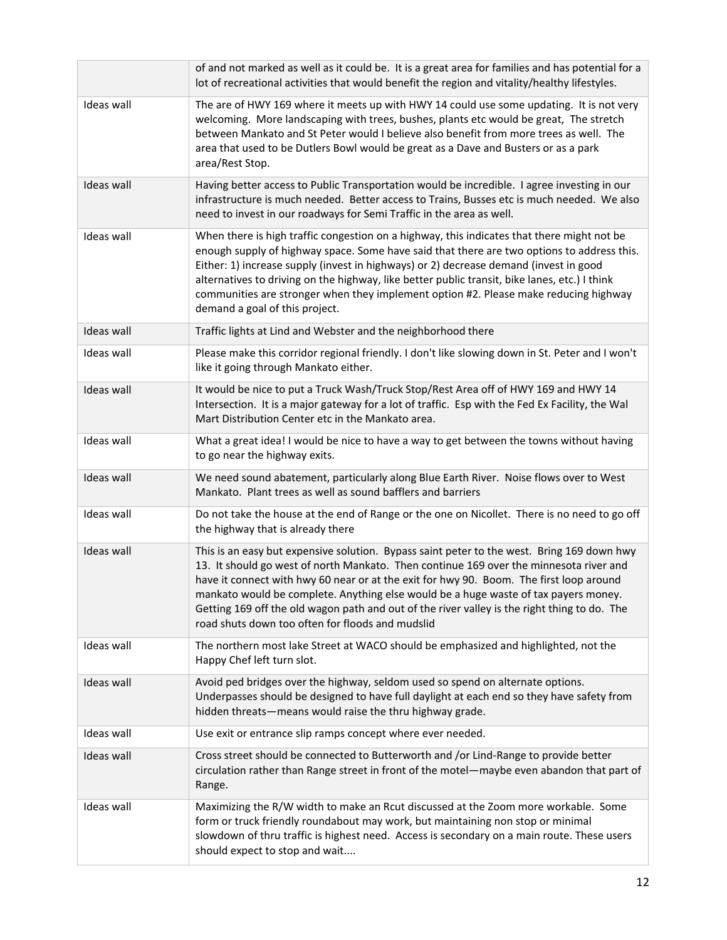|                   | of and not marked as well as it could be. It is a great area for families and has potential for a<br>lot of recreational activities that would benefit the region and vitality/healthy lifestyles.                                                                                                                                                                                                                                                                                                                         |
|-------------------|----------------------------------------------------------------------------------------------------------------------------------------------------------------------------------------------------------------------------------------------------------------------------------------------------------------------------------------------------------------------------------------------------------------------------------------------------------------------------------------------------------------------------|
| Ideas wall        | The are of HWY 169 where it meets up with HWY 14 could use some updating. It is not very<br>welcoming. More landscaping with trees, bushes, plants etc would be great, The stretch<br>between Mankato and St Peter would I believe also benefit from more trees as well. The<br>area that used to be Dutlers Bowl would be great as a Dave and Busters or as a park<br>area/Rest Stop.                                                                                                                                     |
| Ideas wall        | Having better access to Public Transportation would be incredible. I agree investing in our<br>infrastructure is much needed. Better access to Trains, Busses etc is much needed. We also<br>need to invest in our roadways for Semi Traffic in the area as well.                                                                                                                                                                                                                                                          |
| Ideas wall        | When there is high traffic congestion on a highway, this indicates that there might not be<br>enough supply of highway space. Some have said that there are two options to address this.<br>Either: 1) increase supply (invest in highways) or 2) decrease demand (invest in good<br>alternatives to driving on the highway, like better public transit, bike lanes, etc.) I think<br>communities are stronger when they implement option #2. Please make reducing highway<br>demand a goal of this project.               |
| Ideas wall        | Traffic lights at Lind and Webster and the neighborhood there                                                                                                                                                                                                                                                                                                                                                                                                                                                              |
| Ideas wall        | Please make this corridor regional friendly. I don't like slowing down in St. Peter and I won't<br>like it going through Mankato either.                                                                                                                                                                                                                                                                                                                                                                                   |
| <b>Ideas wall</b> | It would be nice to put a Truck Wash/Truck Stop/Rest Area off of HWY 169 and HWY 14<br>Intersection. It is a major gateway for a lot of traffic. Esp with the Fed Ex Facility, the Wal<br>Mart Distribution Center etc in the Mankato area.                                                                                                                                                                                                                                                                                |
| Ideas wall        | What a great idea! I would be nice to have a way to get between the towns without having<br>to go near the highway exits.                                                                                                                                                                                                                                                                                                                                                                                                  |
| Ideas wall        | We need sound abatement, particularly along Blue Earth River. Noise flows over to West<br>Mankato. Plant trees as well as sound bafflers and barriers                                                                                                                                                                                                                                                                                                                                                                      |
| Ideas wall        | Do not take the house at the end of Range or the one on Nicollet. There is no need to go off<br>the highway that is already there                                                                                                                                                                                                                                                                                                                                                                                          |
| Ideas wall        | This is an easy but expensive solution. Bypass saint peter to the west. Bring 169 down hwy<br>13. It should go west of north Mankato. Then continue 169 over the minnesota river and<br>have it connect with hwy 60 near or at the exit for hwy 90. Boom. The first loop around<br>mankato would be complete. Anything else would be a huge waste of tax payers money.<br>Getting 169 off the old wagon path and out of the river valley is the right thing to do. The<br>road shuts down too often for floods and mudslid |
| Ideas wall        | The northern most lake Street at WACO should be emphasized and highlighted, not the<br>Happy Chef left turn slot.                                                                                                                                                                                                                                                                                                                                                                                                          |
| Ideas wall        | Avoid ped bridges over the highway, seldom used so spend on alternate options.<br>Underpasses should be designed to have full daylight at each end so they have safety from<br>hidden threats-means would raise the thru highway grade.                                                                                                                                                                                                                                                                                    |
| Ideas wall        | Use exit or entrance slip ramps concept where ever needed.                                                                                                                                                                                                                                                                                                                                                                                                                                                                 |
| Ideas wall        | Cross street should be connected to Butterworth and /or Lind-Range to provide better<br>circulation rather than Range street in front of the motel-maybe even abandon that part of<br>Range.                                                                                                                                                                                                                                                                                                                               |
| Ideas wall        | Maximizing the R/W width to make an Rcut discussed at the Zoom more workable. Some<br>form or truck friendly roundabout may work, but maintaining non stop or minimal<br>slowdown of thru traffic is highest need. Access is secondary on a main route. These users<br>should expect to stop and wait                                                                                                                                                                                                                      |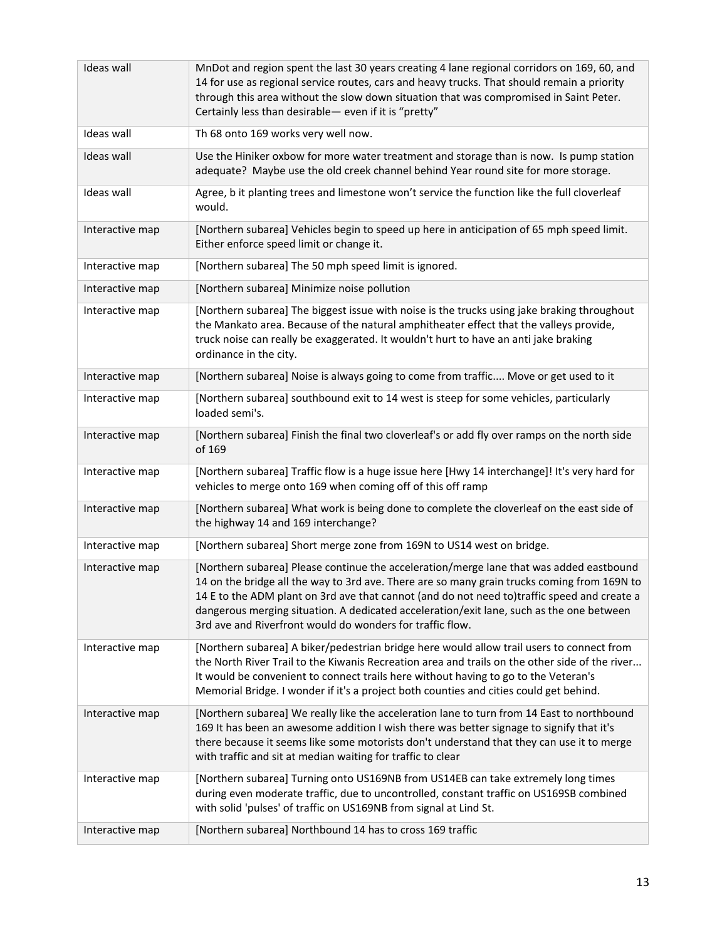| Ideas wall        | MnDot and region spent the last 30 years creating 4 lane regional corridors on 169, 60, and<br>14 for use as regional service routes, cars and heavy trucks. That should remain a priority<br>through this area without the slow down situation that was compromised in Saint Peter.<br>Certainly less than desirable- even if it is "pretty"                                                                                                  |
|-------------------|------------------------------------------------------------------------------------------------------------------------------------------------------------------------------------------------------------------------------------------------------------------------------------------------------------------------------------------------------------------------------------------------------------------------------------------------|
| Ideas wall        | Th 68 onto 169 works very well now.                                                                                                                                                                                                                                                                                                                                                                                                            |
| <b>Ideas wall</b> | Use the Hiniker oxbow for more water treatment and storage than is now. Is pump station<br>adequate? Maybe use the old creek channel behind Year round site for more storage.                                                                                                                                                                                                                                                                  |
| Ideas wall        | Agree, b it planting trees and limestone won't service the function like the full cloverleaf<br>would.                                                                                                                                                                                                                                                                                                                                         |
| Interactive map   | [Northern subarea] Vehicles begin to speed up here in anticipation of 65 mph speed limit.<br>Either enforce speed limit or change it.                                                                                                                                                                                                                                                                                                          |
| Interactive map   | [Northern subarea] The 50 mph speed limit is ignored.                                                                                                                                                                                                                                                                                                                                                                                          |
| Interactive map   | [Northern subarea] Minimize noise pollution                                                                                                                                                                                                                                                                                                                                                                                                    |
| Interactive map   | [Northern subarea] The biggest issue with noise is the trucks using jake braking throughout<br>the Mankato area. Because of the natural amphitheater effect that the valleys provide,<br>truck noise can really be exaggerated. It wouldn't hurt to have an anti jake braking<br>ordinance in the city.                                                                                                                                        |
| Interactive map   | [Northern subarea] Noise is always going to come from traffic Move or get used to it                                                                                                                                                                                                                                                                                                                                                           |
| Interactive map   | [Northern subarea] southbound exit to 14 west is steep for some vehicles, particularly<br>loaded semi's.                                                                                                                                                                                                                                                                                                                                       |
| Interactive map   | [Northern subarea] Finish the final two cloverleaf's or add fly over ramps on the north side<br>of 169                                                                                                                                                                                                                                                                                                                                         |
| Interactive map   | [Northern subarea] Traffic flow is a huge issue here [Hwy 14 interchange]! It's very hard for<br>vehicles to merge onto 169 when coming off of this off ramp                                                                                                                                                                                                                                                                                   |
| Interactive map   | [Northern subarea] What work is being done to complete the cloverleaf on the east side of<br>the highway 14 and 169 interchange?                                                                                                                                                                                                                                                                                                               |
| Interactive map   | [Northern subarea] Short merge zone from 169N to US14 west on bridge.                                                                                                                                                                                                                                                                                                                                                                          |
| Interactive map   | [Northern subarea] Please continue the acceleration/merge lane that was added eastbound<br>14 on the bridge all the way to 3rd ave. There are so many grain trucks coming from 169N to<br>14 E to the ADM plant on 3rd ave that cannot (and do not need to)traffic speed and create a<br>dangerous merging situation. A dedicated acceleration/exit lane, such as the one between<br>3rd ave and Riverfront would do wonders for traffic flow. |
| Interactive map   | [Northern subarea] A biker/pedestrian bridge here would allow trail users to connect from<br>the North River Trail to the Kiwanis Recreation area and trails on the other side of the river<br>It would be convenient to connect trails here without having to go to the Veteran's<br>Memorial Bridge. I wonder if it's a project both counties and cities could get behind.                                                                   |
| Interactive map   | [Northern subarea] We really like the acceleration lane to turn from 14 East to northbound<br>169 It has been an awesome addition I wish there was better signage to signify that it's<br>there because it seems like some motorists don't understand that they can use it to merge<br>with traffic and sit at median waiting for traffic to clear                                                                                             |
| Interactive map   | [Northern subarea] Turning onto US169NB from US14EB can take extremely long times<br>during even moderate traffic, due to uncontrolled, constant traffic on US169SB combined<br>with solid 'pulses' of traffic on US169NB from signal at Lind St.                                                                                                                                                                                              |
| Interactive map   | [Northern subarea] Northbound 14 has to cross 169 traffic                                                                                                                                                                                                                                                                                                                                                                                      |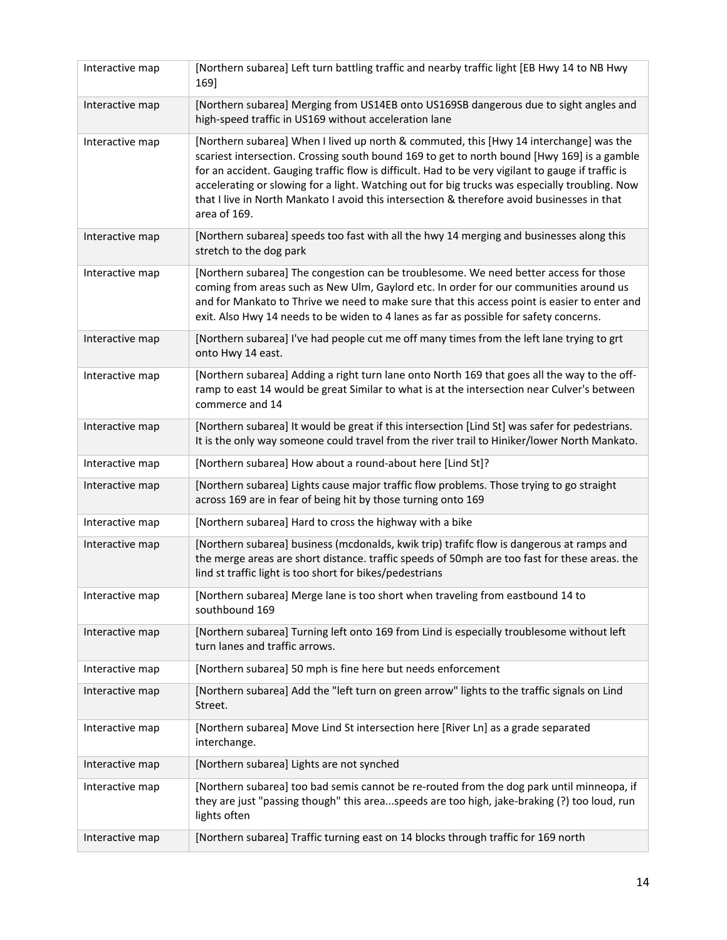| Interactive map | [Northern subarea] Left turn battling traffic and nearby traffic light [EB Hwy 14 to NB Hwy<br>169]                                                                                                                                                                                                                                                                                                                                                                                                          |
|-----------------|--------------------------------------------------------------------------------------------------------------------------------------------------------------------------------------------------------------------------------------------------------------------------------------------------------------------------------------------------------------------------------------------------------------------------------------------------------------------------------------------------------------|
| Interactive map | [Northern subarea] Merging from US14EB onto US169SB dangerous due to sight angles and<br>high-speed traffic in US169 without acceleration lane                                                                                                                                                                                                                                                                                                                                                               |
| Interactive map | [Northern subarea] When I lived up north & commuted, this [Hwy 14 interchange] was the<br>scariest intersection. Crossing south bound 169 to get to north bound [Hwy 169] is a gamble<br>for an accident. Gauging traffic flow is difficult. Had to be very vigilant to gauge if traffic is<br>accelerating or slowing for a light. Watching out for big trucks was especially troubling. Now<br>that I live in North Mankato I avoid this intersection & therefore avoid businesses in that<br>area of 169. |
| Interactive map | [Northern subarea] speeds too fast with all the hwy 14 merging and businesses along this<br>stretch to the dog park                                                                                                                                                                                                                                                                                                                                                                                          |
| Interactive map | [Northern subarea] The congestion can be troublesome. We need better access for those<br>coming from areas such as New Ulm, Gaylord etc. In order for our communities around us<br>and for Mankato to Thrive we need to make sure that this access point is easier to enter and<br>exit. Also Hwy 14 needs to be widen to 4 lanes as far as possible for safety concerns.                                                                                                                                    |
| Interactive map | [Northern subarea] I've had people cut me off many times from the left lane trying to grt<br>onto Hwy 14 east.                                                                                                                                                                                                                                                                                                                                                                                               |
| Interactive map | [Northern subarea] Adding a right turn lane onto North 169 that goes all the way to the off-<br>ramp to east 14 would be great Similar to what is at the intersection near Culver's between<br>commerce and 14                                                                                                                                                                                                                                                                                               |
| Interactive map | [Northern subarea] It would be great if this intersection [Lind St] was safer for pedestrians.<br>It is the only way someone could travel from the river trail to Hiniker/lower North Mankato.                                                                                                                                                                                                                                                                                                               |
| Interactive map | [Northern subarea] How about a round-about here [Lind St]?                                                                                                                                                                                                                                                                                                                                                                                                                                                   |
|                 |                                                                                                                                                                                                                                                                                                                                                                                                                                                                                                              |
| Interactive map | [Northern subarea] Lights cause major traffic flow problems. Those trying to go straight<br>across 169 are in fear of being hit by those turning onto 169                                                                                                                                                                                                                                                                                                                                                    |
| Interactive map | [Northern subarea] Hard to cross the highway with a bike                                                                                                                                                                                                                                                                                                                                                                                                                                                     |
| Interactive map | [Northern subarea] business (mcdonalds, kwik trip) trafifc flow is dangerous at ramps and<br>the merge areas are short distance. traffic speeds of 50mph are too fast for these areas. the<br>lind st traffic light is too short for bikes/pedestrians                                                                                                                                                                                                                                                       |
| Interactive map | [Northern subarea] Merge lane is too short when traveling from eastbound 14 to<br>southbound 169                                                                                                                                                                                                                                                                                                                                                                                                             |
| Interactive map | [Northern subarea] Turning left onto 169 from Lind is especially troublesome without left<br>turn lanes and traffic arrows.                                                                                                                                                                                                                                                                                                                                                                                  |
| Interactive map | [Northern subarea] 50 mph is fine here but needs enforcement                                                                                                                                                                                                                                                                                                                                                                                                                                                 |
| Interactive map | [Northern subarea] Add the "left turn on green arrow" lights to the traffic signals on Lind<br>Street.                                                                                                                                                                                                                                                                                                                                                                                                       |
| Interactive map | [Northern subarea] Move Lind St intersection here [River Ln] as a grade separated<br>interchange.                                                                                                                                                                                                                                                                                                                                                                                                            |
| Interactive map | [Northern subarea] Lights are not synched                                                                                                                                                                                                                                                                                                                                                                                                                                                                    |
| Interactive map | [Northern subarea] too bad semis cannot be re-routed from the dog park until minneopa, if<br>they are just "passing though" this areaspeeds are too high, jake-braking (?) too loud, run<br>lights often                                                                                                                                                                                                                                                                                                     |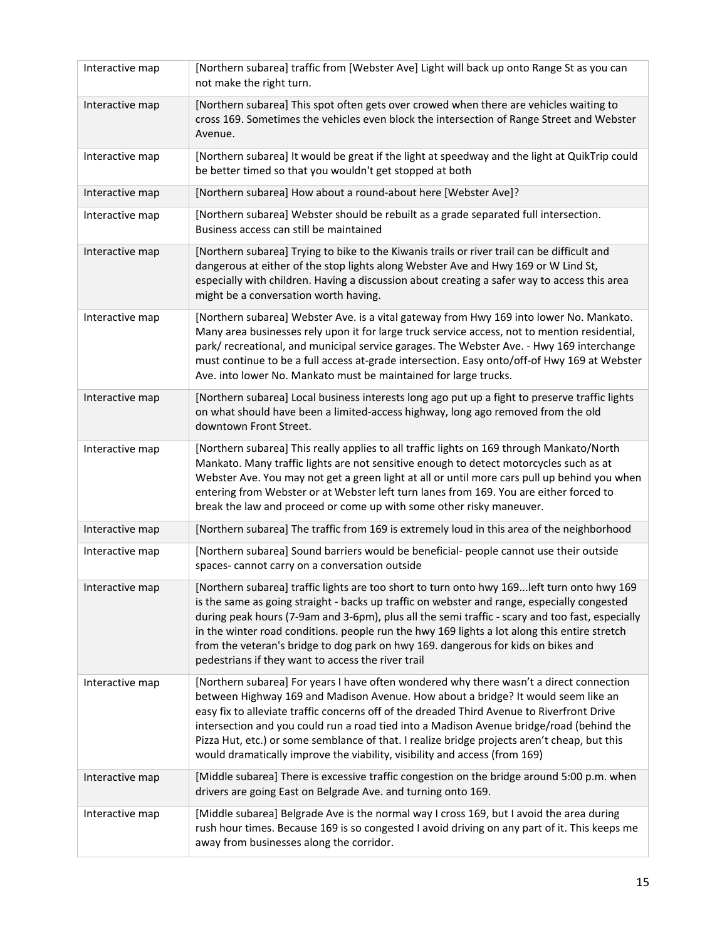| Interactive map | [Northern subarea] traffic from [Webster Ave] Light will back up onto Range St as you can<br>not make the right turn.                                                                                                                                                                                                                                                                                                                                                                                                                                |
|-----------------|------------------------------------------------------------------------------------------------------------------------------------------------------------------------------------------------------------------------------------------------------------------------------------------------------------------------------------------------------------------------------------------------------------------------------------------------------------------------------------------------------------------------------------------------------|
| Interactive map | [Northern subarea] This spot often gets over crowed when there are vehicles waiting to<br>cross 169. Sometimes the vehicles even block the intersection of Range Street and Webster<br>Avenue.                                                                                                                                                                                                                                                                                                                                                       |
| Interactive map | [Northern subarea] It would be great if the light at speedway and the light at QuikTrip could<br>be better timed so that you wouldn't get stopped at both                                                                                                                                                                                                                                                                                                                                                                                            |
| Interactive map | [Northern subarea] How about a round-about here [Webster Ave]?                                                                                                                                                                                                                                                                                                                                                                                                                                                                                       |
| Interactive map | [Northern subarea] Webster should be rebuilt as a grade separated full intersection.<br>Business access can still be maintained                                                                                                                                                                                                                                                                                                                                                                                                                      |
| Interactive map | [Northern subarea] Trying to bike to the Kiwanis trails or river trail can be difficult and<br>dangerous at either of the stop lights along Webster Ave and Hwy 169 or W Lind St,<br>especially with children. Having a discussion about creating a safer way to access this area<br>might be a conversation worth having.                                                                                                                                                                                                                           |
| Interactive map | [Northern subarea] Webster Ave. is a vital gateway from Hwy 169 into lower No. Mankato.<br>Many area businesses rely upon it for large truck service access, not to mention residential,<br>park/ recreational, and municipal service garages. The Webster Ave. - Hwy 169 interchange<br>must continue to be a full access at-grade intersection. Easy onto/off-of Hwy 169 at Webster<br>Ave. into lower No. Mankato must be maintained for large trucks.                                                                                            |
| Interactive map | [Northern subarea] Local business interests long ago put up a fight to preserve traffic lights<br>on what should have been a limited-access highway, long ago removed from the old<br>downtown Front Street.                                                                                                                                                                                                                                                                                                                                         |
| Interactive map | [Northern subarea] This really applies to all traffic lights on 169 through Mankato/North<br>Mankato. Many traffic lights are not sensitive enough to detect motorcycles such as at<br>Webster Ave. You may not get a green light at all or until more cars pull up behind you when<br>entering from Webster or at Webster left turn lanes from 169. You are either forced to<br>break the law and proceed or come up with some other risky maneuver.                                                                                                |
| Interactive map | [Northern subarea] The traffic from 169 is extremely loud in this area of the neighborhood                                                                                                                                                                                                                                                                                                                                                                                                                                                           |
| Interactive map | [Northern subarea] Sound barriers would be beneficial- people cannot use their outside<br>spaces-cannot carry on a conversation outside                                                                                                                                                                                                                                                                                                                                                                                                              |
| Interactive map | [Northern subarea] traffic lights are too short to turn onto hwy 169 left turn onto hwy 169<br>is the same as going straight - backs up traffic on webster and range, especially congested<br>during peak hours (7-9am and 3-6pm), plus all the semi traffic - scary and too fast, especially<br>in the winter road conditions. people run the hwy 169 lights a lot along this entire stretch<br>from the veteran's bridge to dog park on hwy 169. dangerous for kids on bikes and<br>pedestrians if they want to access the river trail             |
| Interactive map | [Northern subarea] For years I have often wondered why there wasn't a direct connection<br>between Highway 169 and Madison Avenue. How about a bridge? It would seem like an<br>easy fix to alleviate traffic concerns off of the dreaded Third Avenue to Riverfront Drive<br>intersection and you could run a road tied into a Madison Avenue bridge/road (behind the<br>Pizza Hut, etc.) or some semblance of that. I realize bridge projects aren't cheap, but this<br>would dramatically improve the viability, visibility and access (from 169) |
| Interactive map | [Middle subarea] There is excessive traffic congestion on the bridge around 5:00 p.m. when<br>drivers are going East on Belgrade Ave. and turning onto 169.                                                                                                                                                                                                                                                                                                                                                                                          |
| Interactive map | [Middle subarea] Belgrade Ave is the normal way I cross 169, but I avoid the area during<br>rush hour times. Because 169 is so congested I avoid driving on any part of it. This keeps me<br>away from businesses along the corridor.                                                                                                                                                                                                                                                                                                                |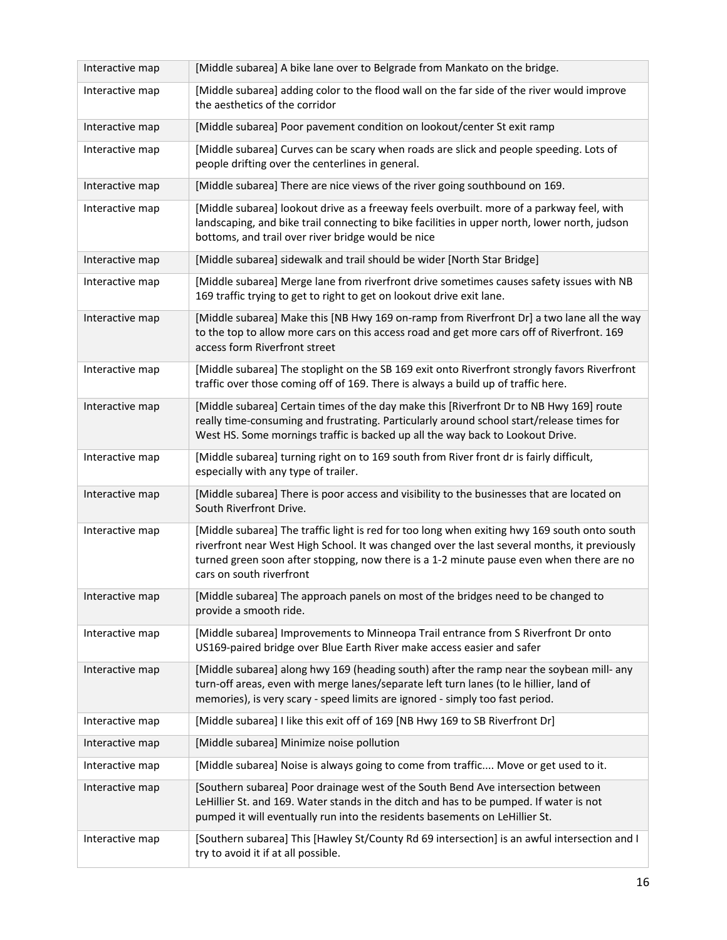| Interactive map | [Middle subarea] A bike lane over to Belgrade from Mankato on the bridge.                                                                                                                                                                                                                                            |
|-----------------|----------------------------------------------------------------------------------------------------------------------------------------------------------------------------------------------------------------------------------------------------------------------------------------------------------------------|
| Interactive map | [Middle subarea] adding color to the flood wall on the far side of the river would improve<br>the aesthetics of the corridor                                                                                                                                                                                         |
| Interactive map | [Middle subarea] Poor pavement condition on lookout/center St exit ramp                                                                                                                                                                                                                                              |
| Interactive map | [Middle subarea] Curves can be scary when roads are slick and people speeding. Lots of<br>people drifting over the centerlines in general.                                                                                                                                                                           |
| Interactive map | [Middle subarea] There are nice views of the river going southbound on 169.                                                                                                                                                                                                                                          |
| Interactive map | [Middle subarea] lookout drive as a freeway feels overbuilt. more of a parkway feel, with<br>landscaping, and bike trail connecting to bike facilities in upper north, lower north, judson<br>bottoms, and trail over river bridge would be nice                                                                     |
| Interactive map | [Middle subarea] sidewalk and trail should be wider [North Star Bridge]                                                                                                                                                                                                                                              |
| Interactive map | [Middle subarea] Merge lane from riverfront drive sometimes causes safety issues with NB<br>169 traffic trying to get to right to get on lookout drive exit lane.                                                                                                                                                    |
| Interactive map | [Middle subarea] Make this [NB Hwy 169 on-ramp from Riverfront Dr] a two lane all the way<br>to the top to allow more cars on this access road and get more cars off of Riverfront. 169<br>access form Riverfront street                                                                                             |
| Interactive map | [Middle subarea] The stoplight on the SB 169 exit onto Riverfront strongly favors Riverfront<br>traffic over those coming off of 169. There is always a build up of traffic here.                                                                                                                                    |
| Interactive map | [Middle subarea] Certain times of the day make this [Riverfront Dr to NB Hwy 169] route<br>really time-consuming and frustrating. Particularly around school start/release times for<br>West HS. Some mornings traffic is backed up all the way back to Lookout Drive.                                               |
| Interactive map | [Middle subarea] turning right on to 169 south from River front dr is fairly difficult,<br>especially with any type of trailer.                                                                                                                                                                                      |
| Interactive map | [Middle subarea] There is poor access and visibility to the businesses that are located on<br>South Riverfront Drive.                                                                                                                                                                                                |
| Interactive map | [Middle subarea] The traffic light is red for too long when exiting hwy 169 south onto south<br>riverfront near West High School. It was changed over the last several months, it previously<br>turned green soon after stopping, now there is a 1-2 minute pause even when there are no<br>cars on south riverfront |
| Interactive map | [Middle subarea] The approach panels on most of the bridges need to be changed to<br>provide a smooth ride.                                                                                                                                                                                                          |
| Interactive map | [Middle subarea] Improvements to Minneopa Trail entrance from S Riverfront Dr onto<br>US169-paired bridge over Blue Earth River make access easier and safer                                                                                                                                                         |
| Interactive map | [Middle subarea] along hwy 169 (heading south) after the ramp near the soybean mill- any<br>turn-off areas, even with merge lanes/separate left turn lanes (to le hillier, land of<br>memories), is very scary - speed limits are ignored - simply too fast period.                                                  |
| Interactive map | [Middle subarea] I like this exit off of 169 [NB Hwy 169 to SB Riverfront Dr]                                                                                                                                                                                                                                        |
| Interactive map | [Middle subarea] Minimize noise pollution                                                                                                                                                                                                                                                                            |
| Interactive map | [Middle subarea] Noise is always going to come from traffic Move or get used to it.                                                                                                                                                                                                                                  |
| Interactive map | [Southern subarea] Poor drainage west of the South Bend Ave intersection between<br>LeHillier St. and 169. Water stands in the ditch and has to be pumped. If water is not<br>pumped it will eventually run into the residents basements on LeHillier St.                                                            |
| Interactive map | [Southern subarea] This [Hawley St/County Rd 69 intersection] is an awful intersection and I<br>try to avoid it if at all possible.                                                                                                                                                                                  |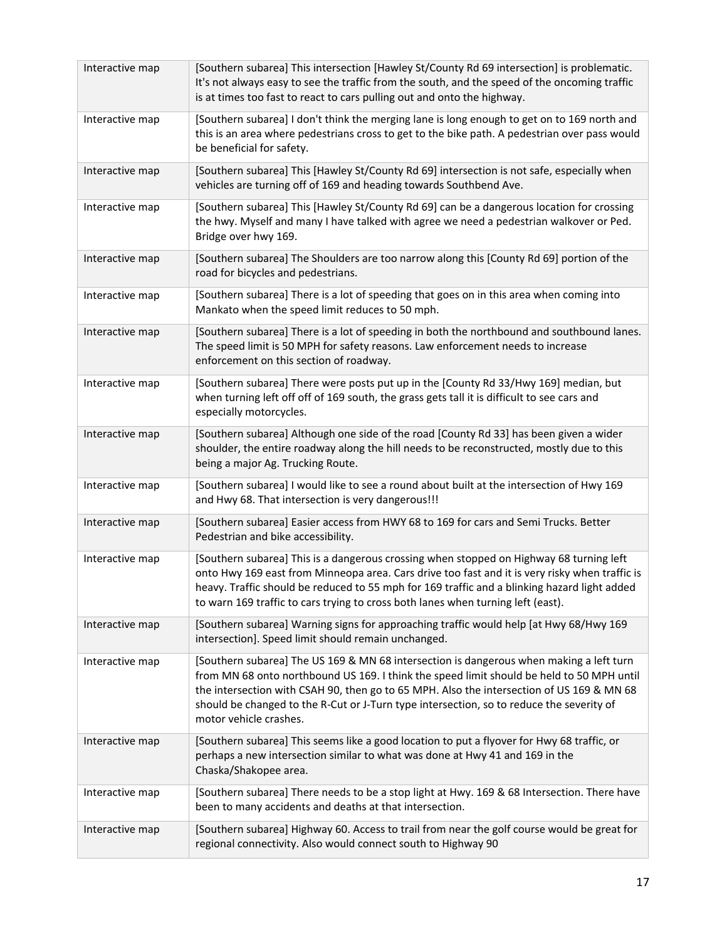| Interactive map | [Southern subarea] This intersection [Hawley St/County Rd 69 intersection] is problematic.<br>It's not always easy to see the traffic from the south, and the speed of the oncoming traffic<br>is at times too fast to react to cars pulling out and onto the highway.                                                                                                                                  |
|-----------------|---------------------------------------------------------------------------------------------------------------------------------------------------------------------------------------------------------------------------------------------------------------------------------------------------------------------------------------------------------------------------------------------------------|
| Interactive map | [Southern subarea] I don't think the merging lane is long enough to get on to 169 north and<br>this is an area where pedestrians cross to get to the bike path. A pedestrian over pass would<br>be beneficial for safety.                                                                                                                                                                               |
| Interactive map | [Southern subarea] This [Hawley St/County Rd 69] intersection is not safe, especially when<br>vehicles are turning off of 169 and heading towards Southbend Ave.                                                                                                                                                                                                                                        |
| Interactive map | [Southern subarea] This [Hawley St/County Rd 69] can be a dangerous location for crossing<br>the hwy. Myself and many I have talked with agree we need a pedestrian walkover or Ped.<br>Bridge over hwy 169.                                                                                                                                                                                            |
| Interactive map | [Southern subarea] The Shoulders are too narrow along this [County Rd 69] portion of the<br>road for bicycles and pedestrians.                                                                                                                                                                                                                                                                          |
| Interactive map | [Southern subarea] There is a lot of speeding that goes on in this area when coming into<br>Mankato when the speed limit reduces to 50 mph.                                                                                                                                                                                                                                                             |
| Interactive map | [Southern subarea] There is a lot of speeding in both the northbound and southbound lanes.<br>The speed limit is 50 MPH for safety reasons. Law enforcement needs to increase<br>enforcement on this section of roadway.                                                                                                                                                                                |
| Interactive map | [Southern subarea] There were posts put up in the [County Rd 33/Hwy 169] median, but<br>when turning left off off of 169 south, the grass gets tall it is difficult to see cars and<br>especially motorcycles.                                                                                                                                                                                          |
| Interactive map | [Southern subarea] Although one side of the road [County Rd 33] has been given a wider<br>shoulder, the entire roadway along the hill needs to be reconstructed, mostly due to this<br>being a major Ag. Trucking Route.                                                                                                                                                                                |
| Interactive map | [Southern subarea] I would like to see a round about built at the intersection of Hwy 169<br>and Hwy 68. That intersection is very dangerous!!!                                                                                                                                                                                                                                                         |
| Interactive map | [Southern subarea] Easier access from HWY 68 to 169 for cars and Semi Trucks. Better<br>Pedestrian and bike accessibility.                                                                                                                                                                                                                                                                              |
| Interactive map | [Southern subarea] This is a dangerous crossing when stopped on Highway 68 turning left<br>onto Hwy 169 east from Minneopa area. Cars drive too fast and it is very risky when traffic is<br>heavy. Traffic should be reduced to 55 mph for 169 traffic and a blinking hazard light added<br>to warn 169 traffic to cars trying to cross both lanes when turning left (east).                           |
| Interactive map | [Southern subarea] Warning signs for approaching traffic would help [at Hwy 68/Hwy 169<br>intersection]. Speed limit should remain unchanged.                                                                                                                                                                                                                                                           |
| Interactive map | [Southern subarea] The US 169 & MN 68 intersection is dangerous when making a left turn<br>from MN 68 onto northbound US 169. I think the speed limit should be held to 50 MPH until<br>the intersection with CSAH 90, then go to 65 MPH. Also the intersection of US 169 & MN 68<br>should be changed to the R-Cut or J-Turn type intersection, so to reduce the severity of<br>motor vehicle crashes. |
| Interactive map | [Southern subarea] This seems like a good location to put a flyover for Hwy 68 traffic, or<br>perhaps a new intersection similar to what was done at Hwy 41 and 169 in the<br>Chaska/Shakopee area.                                                                                                                                                                                                     |
| Interactive map | [Southern subarea] There needs to be a stop light at Hwy. 169 & 68 Intersection. There have<br>been to many accidents and deaths at that intersection.                                                                                                                                                                                                                                                  |
| Interactive map | [Southern subarea] Highway 60. Access to trail from near the golf course would be great for<br>regional connectivity. Also would connect south to Highway 90                                                                                                                                                                                                                                            |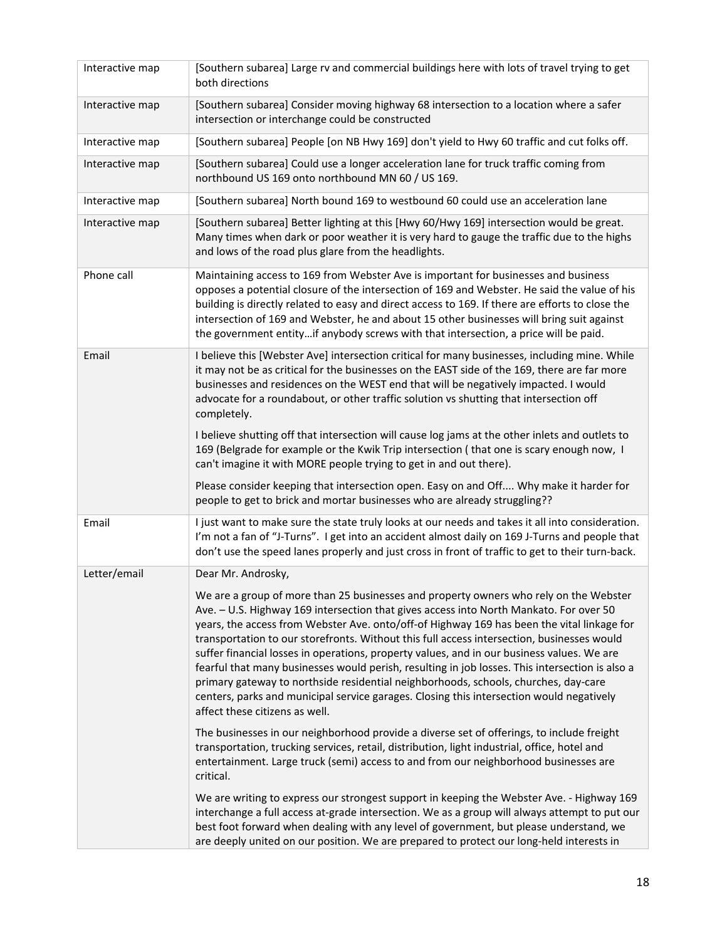| Interactive map | [Southern subarea] Large rv and commercial buildings here with lots of travel trying to get<br>both directions                                                                                                                                                                                                                                                                                                                                                                                                                                                                                                                                                                                                                                                                                    |
|-----------------|---------------------------------------------------------------------------------------------------------------------------------------------------------------------------------------------------------------------------------------------------------------------------------------------------------------------------------------------------------------------------------------------------------------------------------------------------------------------------------------------------------------------------------------------------------------------------------------------------------------------------------------------------------------------------------------------------------------------------------------------------------------------------------------------------|
| Interactive map | [Southern subarea] Consider moving highway 68 intersection to a location where a safer<br>intersection or interchange could be constructed                                                                                                                                                                                                                                                                                                                                                                                                                                                                                                                                                                                                                                                        |
| Interactive map | [Southern subarea] People [on NB Hwy 169] don't yield to Hwy 60 traffic and cut folks off.                                                                                                                                                                                                                                                                                                                                                                                                                                                                                                                                                                                                                                                                                                        |
| Interactive map | [Southern subarea] Could use a longer acceleration lane for truck traffic coming from<br>northbound US 169 onto northbound MN 60 / US 169.                                                                                                                                                                                                                                                                                                                                                                                                                                                                                                                                                                                                                                                        |
| Interactive map | [Southern subarea] North bound 169 to westbound 60 could use an acceleration lane                                                                                                                                                                                                                                                                                                                                                                                                                                                                                                                                                                                                                                                                                                                 |
| Interactive map | [Southern subarea] Better lighting at this [Hwy 60/Hwy 169] intersection would be great.<br>Many times when dark or poor weather it is very hard to gauge the traffic due to the highs<br>and lows of the road plus glare from the headlights.                                                                                                                                                                                                                                                                                                                                                                                                                                                                                                                                                    |
| Phone call      | Maintaining access to 169 from Webster Ave is important for businesses and business<br>opposes a potential closure of the intersection of 169 and Webster. He said the value of his<br>building is directly related to easy and direct access to 169. If there are efforts to close the<br>intersection of 169 and Webster, he and about 15 other businesses will bring suit against<br>the government entityif anybody screws with that intersection, a price will be paid.                                                                                                                                                                                                                                                                                                                      |
| Email           | I believe this [Webster Ave] intersection critical for many businesses, including mine. While<br>it may not be as critical for the businesses on the EAST side of the 169, there are far more<br>businesses and residences on the WEST end that will be negatively impacted. I would<br>advocate for a roundabout, or other traffic solution vs shutting that intersection off<br>completely.                                                                                                                                                                                                                                                                                                                                                                                                     |
|                 | I believe shutting off that intersection will cause log jams at the other inlets and outlets to<br>169 (Belgrade for example or the Kwik Trip intersection (that one is scary enough now, I<br>can't imagine it with MORE people trying to get in and out there).                                                                                                                                                                                                                                                                                                                                                                                                                                                                                                                                 |
|                 | Please consider keeping that intersection open. Easy on and Off Why make it harder for<br>people to get to brick and mortar businesses who are already struggling??                                                                                                                                                                                                                                                                                                                                                                                                                                                                                                                                                                                                                               |
| Email           | I just want to make sure the state truly looks at our needs and takes it all into consideration.<br>I'm not a fan of "J-Turns". I get into an accident almost daily on 169 J-Turns and people that<br>don't use the speed lanes properly and just cross in front of traffic to get to their turn-back.                                                                                                                                                                                                                                                                                                                                                                                                                                                                                            |
| Letter/email    | Dear Mr. Androsky,                                                                                                                                                                                                                                                                                                                                                                                                                                                                                                                                                                                                                                                                                                                                                                                |
|                 | We are a group of more than 25 businesses and property owners who rely on the Webster<br>Ave. - U.S. Highway 169 intersection that gives access into North Mankato. For over 50<br>years, the access from Webster Ave. onto/off-of Highway 169 has been the vital linkage for<br>transportation to our storefronts. Without this full access intersection, businesses would<br>suffer financial losses in operations, property values, and in our business values. We are<br>fearful that many businesses would perish, resulting in job losses. This intersection is also a<br>primary gateway to northside residential neighborhoods, schools, churches, day-care<br>centers, parks and municipal service garages. Closing this intersection would negatively<br>affect these citizens as well. |
|                 | The businesses in our neighborhood provide a diverse set of offerings, to include freight<br>transportation, trucking services, retail, distribution, light industrial, office, hotel and<br>entertainment. Large truck (semi) access to and from our neighborhood businesses are<br>critical.                                                                                                                                                                                                                                                                                                                                                                                                                                                                                                    |
|                 | We are writing to express our strongest support in keeping the Webster Ave. - Highway 169<br>interchange a full access at-grade intersection. We as a group will always attempt to put our<br>best foot forward when dealing with any level of government, but please understand, we<br>are deeply united on our position. We are prepared to protect our long-held interests in                                                                                                                                                                                                                                                                                                                                                                                                                  |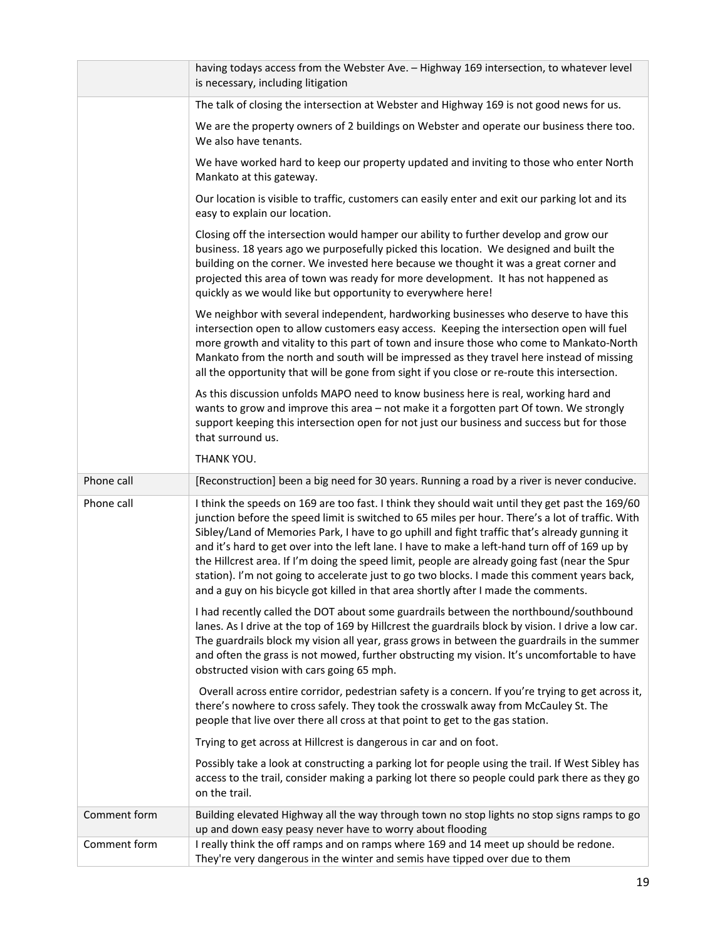|              | having todays access from the Webster Ave. - Highway 169 intersection, to whatever level<br>is necessary, including litigation                                                                                                                                                                                                                                                                                                                                                                                                                                                                                                                                                                  |
|--------------|-------------------------------------------------------------------------------------------------------------------------------------------------------------------------------------------------------------------------------------------------------------------------------------------------------------------------------------------------------------------------------------------------------------------------------------------------------------------------------------------------------------------------------------------------------------------------------------------------------------------------------------------------------------------------------------------------|
|              | The talk of closing the intersection at Webster and Highway 169 is not good news for us.                                                                                                                                                                                                                                                                                                                                                                                                                                                                                                                                                                                                        |
|              | We are the property owners of 2 buildings on Webster and operate our business there too.<br>We also have tenants.                                                                                                                                                                                                                                                                                                                                                                                                                                                                                                                                                                               |
|              | We have worked hard to keep our property updated and inviting to those who enter North<br>Mankato at this gateway.                                                                                                                                                                                                                                                                                                                                                                                                                                                                                                                                                                              |
|              | Our location is visible to traffic, customers can easily enter and exit our parking lot and its<br>easy to explain our location.                                                                                                                                                                                                                                                                                                                                                                                                                                                                                                                                                                |
|              | Closing off the intersection would hamper our ability to further develop and grow our<br>business. 18 years ago we purposefully picked this location. We designed and built the<br>building on the corner. We invested here because we thought it was a great corner and<br>projected this area of town was ready for more development. It has not happened as<br>quickly as we would like but opportunity to everywhere here!                                                                                                                                                                                                                                                                  |
|              | We neighbor with several independent, hardworking businesses who deserve to have this<br>intersection open to allow customers easy access. Keeping the intersection open will fuel<br>more growth and vitality to this part of town and insure those who come to Mankato-North<br>Mankato from the north and south will be impressed as they travel here instead of missing<br>all the opportunity that will be gone from sight if you close or re-route this intersection.                                                                                                                                                                                                                     |
|              | As this discussion unfolds MAPO need to know business here is real, working hard and<br>wants to grow and improve this area - not make it a forgotten part Of town. We strongly<br>support keeping this intersection open for not just our business and success but for those<br>that surround us.                                                                                                                                                                                                                                                                                                                                                                                              |
|              | THANK YOU.                                                                                                                                                                                                                                                                                                                                                                                                                                                                                                                                                                                                                                                                                      |
| Phone call   | [Reconstruction] been a big need for 30 years. Running a road by a river is never conducive.                                                                                                                                                                                                                                                                                                                                                                                                                                                                                                                                                                                                    |
| Phone call   | I think the speeds on 169 are too fast. I think they should wait until they get past the 169/60<br>junction before the speed limit is switched to 65 miles per hour. There's a lot of traffic. With<br>Sibley/Land of Memories Park, I have to go uphill and fight traffic that's already gunning it<br>and it's hard to get over into the left lane. I have to make a left-hand turn off of 169 up by<br>the Hillcrest area. If I'm doing the speed limit, people are already going fast (near the Spur<br>station). I'm not going to accelerate just to go two blocks. I made this comment years back,<br>and a guy on his bicycle got killed in that area shortly after I made the comments. |
|              | I had recently called the DOT about some guardrails between the northbound/southbound<br>lanes. As I drive at the top of 169 by Hillcrest the guardrails block by vision. I drive a low car.<br>The guardrails block my vision all year, grass grows in between the guardrails in the summer<br>and often the grass is not mowed, further obstructing my vision. It's uncomfortable to have<br>obstructed vision with cars going 65 mph.                                                                                                                                                                                                                                                        |
|              | Overall across entire corridor, pedestrian safety is a concern. If you're trying to get across it,<br>there's nowhere to cross safely. They took the crosswalk away from McCauley St. The<br>people that live over there all cross at that point to get to the gas station.                                                                                                                                                                                                                                                                                                                                                                                                                     |
|              | Trying to get across at Hillcrest is dangerous in car and on foot.                                                                                                                                                                                                                                                                                                                                                                                                                                                                                                                                                                                                                              |
|              | Possibly take a look at constructing a parking lot for people using the trail. If West Sibley has<br>access to the trail, consider making a parking lot there so people could park there as they go<br>on the trail.                                                                                                                                                                                                                                                                                                                                                                                                                                                                            |
| Comment form | Building elevated Highway all the way through town no stop lights no stop signs ramps to go<br>up and down easy peasy never have to worry about flooding                                                                                                                                                                                                                                                                                                                                                                                                                                                                                                                                        |
| Comment form | I really think the off ramps and on ramps where 169 and 14 meet up should be redone.<br>They're very dangerous in the winter and semis have tipped over due to them                                                                                                                                                                                                                                                                                                                                                                                                                                                                                                                             |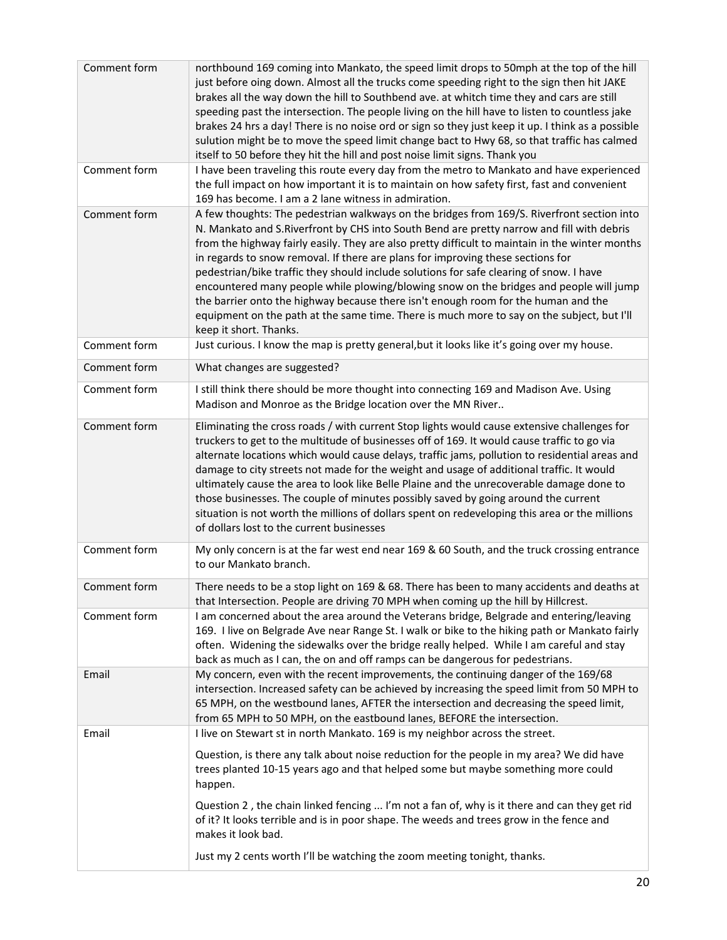| Comment form | northbound 169 coming into Mankato, the speed limit drops to 50mph at the top of the hill<br>just before oing down. Almost all the trucks come speeding right to the sign then hit JAKE<br>brakes all the way down the hill to Southbend ave. at whitch time they and cars are still<br>speeding past the intersection. The people living on the hill have to listen to countless jake<br>brakes 24 hrs a day! There is no noise ord or sign so they just keep it up. I think as a possible<br>sulution might be to move the speed limit change bact to Hwy 68, so that traffic has calmed<br>itself to 50 before they hit the hill and post noise limit signs. Thank you                                                                                                        |
|--------------|----------------------------------------------------------------------------------------------------------------------------------------------------------------------------------------------------------------------------------------------------------------------------------------------------------------------------------------------------------------------------------------------------------------------------------------------------------------------------------------------------------------------------------------------------------------------------------------------------------------------------------------------------------------------------------------------------------------------------------------------------------------------------------|
| Comment form | I have been traveling this route every day from the metro to Mankato and have experienced<br>the full impact on how important it is to maintain on how safety first, fast and convenient<br>169 has become. I am a 2 lane witness in admiration.                                                                                                                                                                                                                                                                                                                                                                                                                                                                                                                                 |
| Comment form | A few thoughts: The pedestrian walkways on the bridges from 169/S. Riverfront section into<br>N. Mankato and S.Riverfront by CHS into South Bend are pretty narrow and fill with debris<br>from the highway fairly easily. They are also pretty difficult to maintain in the winter months<br>in regards to snow removal. If there are plans for improving these sections for<br>pedestrian/bike traffic they should include solutions for safe clearing of snow. I have<br>encountered many people while plowing/blowing snow on the bridges and people will jump<br>the barrier onto the highway because there isn't enough room for the human and the<br>equipment on the path at the same time. There is much more to say on the subject, but I'll<br>keep it short. Thanks. |
| Comment form | Just curious. I know the map is pretty general, but it looks like it's going over my house.                                                                                                                                                                                                                                                                                                                                                                                                                                                                                                                                                                                                                                                                                      |
| Comment form | What changes are suggested?                                                                                                                                                                                                                                                                                                                                                                                                                                                                                                                                                                                                                                                                                                                                                      |
| Comment form | I still think there should be more thought into connecting 169 and Madison Ave. Using<br>Madison and Monroe as the Bridge location over the MN River                                                                                                                                                                                                                                                                                                                                                                                                                                                                                                                                                                                                                             |
| Comment form | Eliminating the cross roads / with current Stop lights would cause extensive challenges for<br>truckers to get to the multitude of businesses off of 169. It would cause traffic to go via<br>alternate locations which would cause delays, traffic jams, pollution to residential areas and<br>damage to city streets not made for the weight and usage of additional traffic. It would<br>ultimately cause the area to look like Belle Plaine and the unrecoverable damage done to<br>those businesses. The couple of minutes possibly saved by going around the current<br>situation is not worth the millions of dollars spent on redeveloping this area or the millions<br>of dollars lost to the current businesses                                                        |
| Comment form | My only concern is at the far west end near 169 & 60 South, and the truck crossing entrance<br>to our Mankato branch.                                                                                                                                                                                                                                                                                                                                                                                                                                                                                                                                                                                                                                                            |
| Comment form | There needs to be a stop light on 169 & 68. There has been to many accidents and deaths at<br>that Intersection. People are driving 70 MPH when coming up the hill by Hillcrest.                                                                                                                                                                                                                                                                                                                                                                                                                                                                                                                                                                                                 |
| Comment form | I am concerned about the area around the Veterans bridge, Belgrade and entering/leaving<br>169. I live on Belgrade Ave near Range St. I walk or bike to the hiking path or Mankato fairly<br>often. Widening the sidewalks over the bridge really helped. While I am careful and stay<br>back as much as I can, the on and off ramps can be dangerous for pedestrians.                                                                                                                                                                                                                                                                                                                                                                                                           |
| Email        | My concern, even with the recent improvements, the continuing danger of the 169/68<br>intersection. Increased safety can be achieved by increasing the speed limit from 50 MPH to<br>65 MPH, on the westbound lanes, AFTER the intersection and decreasing the speed limit,<br>from 65 MPH to 50 MPH, on the eastbound lanes, BEFORE the intersection.                                                                                                                                                                                                                                                                                                                                                                                                                           |
| Email        | I live on Stewart st in north Mankato. 169 is my neighbor across the street.                                                                                                                                                                                                                                                                                                                                                                                                                                                                                                                                                                                                                                                                                                     |
|              | Question, is there any talk about noise reduction for the people in my area? We did have<br>trees planted 10-15 years ago and that helped some but maybe something more could<br>happen.<br>Question 2, the chain linked fencing  I'm not a fan of, why is it there and can they get rid                                                                                                                                                                                                                                                                                                                                                                                                                                                                                         |
|              | of it? It looks terrible and is in poor shape. The weeds and trees grow in the fence and<br>makes it look bad.                                                                                                                                                                                                                                                                                                                                                                                                                                                                                                                                                                                                                                                                   |
|              | Just my 2 cents worth I'll be watching the zoom meeting tonight, thanks.                                                                                                                                                                                                                                                                                                                                                                                                                                                                                                                                                                                                                                                                                                         |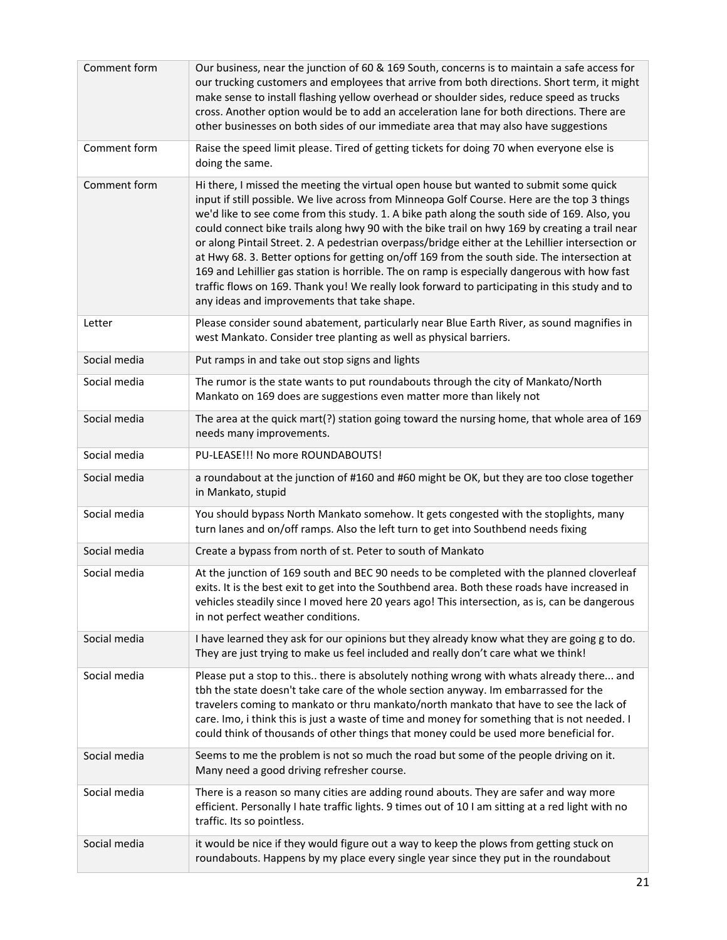| Comment form | Our business, near the junction of 60 & 169 South, concerns is to maintain a safe access for<br>our trucking customers and employees that arrive from both directions. Short term, it might<br>make sense to install flashing yellow overhead or shoulder sides, reduce speed as trucks<br>cross. Another option would be to add an acceleration lane for both directions. There are<br>other businesses on both sides of our immediate area that may also have suggestions                                                                                                                                                                                                                                                                                                                                                                 |
|--------------|---------------------------------------------------------------------------------------------------------------------------------------------------------------------------------------------------------------------------------------------------------------------------------------------------------------------------------------------------------------------------------------------------------------------------------------------------------------------------------------------------------------------------------------------------------------------------------------------------------------------------------------------------------------------------------------------------------------------------------------------------------------------------------------------------------------------------------------------|
| Comment form | Raise the speed limit please. Tired of getting tickets for doing 70 when everyone else is<br>doing the same.                                                                                                                                                                                                                                                                                                                                                                                                                                                                                                                                                                                                                                                                                                                                |
| Comment form | Hi there, I missed the meeting the virtual open house but wanted to submit some quick<br>input if still possible. We live across from Minneopa Golf Course. Here are the top 3 things<br>we'd like to see come from this study. 1. A bike path along the south side of 169. Also, you<br>could connect bike trails along hwy 90 with the bike trail on hwy 169 by creating a trail near<br>or along Pintail Street. 2. A pedestrian overpass/bridge either at the Lehillier intersection or<br>at Hwy 68. 3. Better options for getting on/off 169 from the south side. The intersection at<br>169 and Lehillier gas station is horrible. The on ramp is especially dangerous with how fast<br>traffic flows on 169. Thank you! We really look forward to participating in this study and to<br>any ideas and improvements that take shape. |
| Letter       | Please consider sound abatement, particularly near Blue Earth River, as sound magnifies in<br>west Mankato. Consider tree planting as well as physical barriers.                                                                                                                                                                                                                                                                                                                                                                                                                                                                                                                                                                                                                                                                            |
| Social media | Put ramps in and take out stop signs and lights                                                                                                                                                                                                                                                                                                                                                                                                                                                                                                                                                                                                                                                                                                                                                                                             |
| Social media | The rumor is the state wants to put roundabouts through the city of Mankato/North<br>Mankato on 169 does are suggestions even matter more than likely not                                                                                                                                                                                                                                                                                                                                                                                                                                                                                                                                                                                                                                                                                   |
| Social media | The area at the quick mart(?) station going toward the nursing home, that whole area of 169<br>needs many improvements.                                                                                                                                                                                                                                                                                                                                                                                                                                                                                                                                                                                                                                                                                                                     |
| Social media | PU-LEASE!!! No more ROUNDABOUTS!                                                                                                                                                                                                                                                                                                                                                                                                                                                                                                                                                                                                                                                                                                                                                                                                            |
| Social media | a roundabout at the junction of #160 and #60 might be OK, but they are too close together<br>in Mankato, stupid                                                                                                                                                                                                                                                                                                                                                                                                                                                                                                                                                                                                                                                                                                                             |
| Social media | You should bypass North Mankato somehow. It gets congested with the stoplights, many<br>turn lanes and on/off ramps. Also the left turn to get into Southbend needs fixing                                                                                                                                                                                                                                                                                                                                                                                                                                                                                                                                                                                                                                                                  |
| Social media | Create a bypass from north of st. Peter to south of Mankato                                                                                                                                                                                                                                                                                                                                                                                                                                                                                                                                                                                                                                                                                                                                                                                 |
| Social media | At the junction of 169 south and BEC 90 needs to be completed with the planned cloverleaf<br>exits. It is the best exit to get into the Southbend area. Both these roads have increased in<br>vehicles steadily since I moved here 20 years ago! This intersection, as is, can be dangerous<br>in not perfect weather conditions.                                                                                                                                                                                                                                                                                                                                                                                                                                                                                                           |
| Social media | I have learned they ask for our opinions but they already know what they are going g to do.<br>They are just trying to make us feel included and really don't care what we think!                                                                                                                                                                                                                                                                                                                                                                                                                                                                                                                                                                                                                                                           |
| Social media | Please put a stop to this there is absolutely nothing wrong with whats already there and<br>tbh the state doesn't take care of the whole section anyway. Im embarrassed for the<br>travelers coming to mankato or thru mankato/north mankato that have to see the lack of<br>care. Imo, i think this is just a waste of time and money for something that is not needed. I<br>could think of thousands of other things that money could be used more beneficial for.                                                                                                                                                                                                                                                                                                                                                                        |
| Social media | Seems to me the problem is not so much the road but some of the people driving on it.<br>Many need a good driving refresher course.                                                                                                                                                                                                                                                                                                                                                                                                                                                                                                                                                                                                                                                                                                         |
| Social media | There is a reason so many cities are adding round abouts. They are safer and way more<br>efficient. Personally I hate traffic lights. 9 times out of 10 I am sitting at a red light with no<br>traffic. Its so pointless.                                                                                                                                                                                                                                                                                                                                                                                                                                                                                                                                                                                                                   |
| Social media | it would be nice if they would figure out a way to keep the plows from getting stuck on<br>roundabouts. Happens by my place every single year since they put in the roundabout                                                                                                                                                                                                                                                                                                                                                                                                                                                                                                                                                                                                                                                              |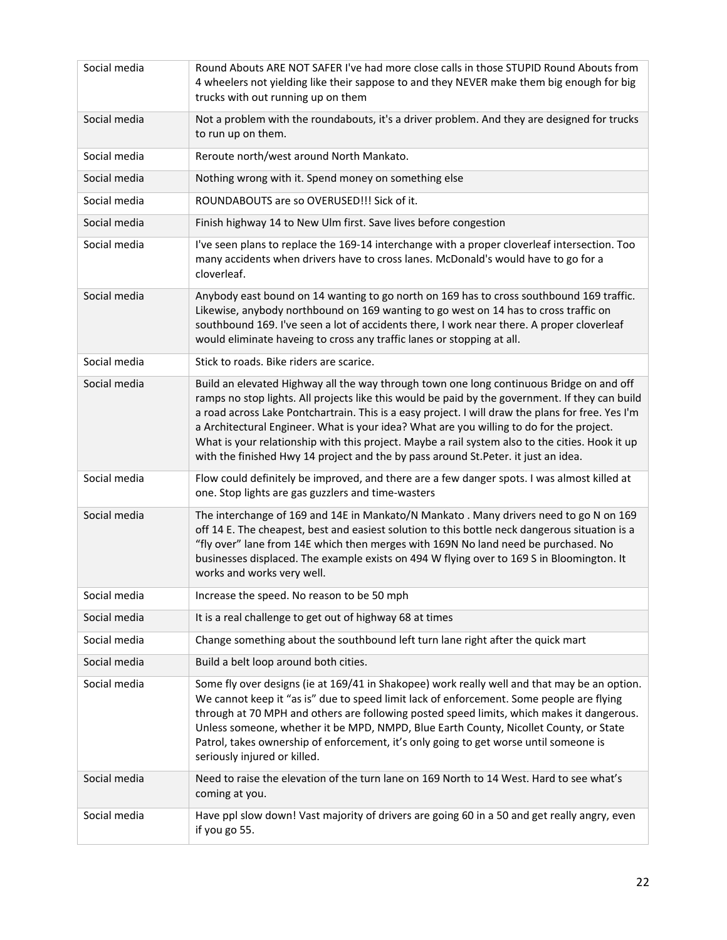| Social media | Round Abouts ARE NOT SAFER I've had more close calls in those STUPID Round Abouts from<br>4 wheelers not yielding like their sappose to and they NEVER make them big enough for big<br>trucks with out running up on them                                                                                                                                                                                                                                                                                                                                                              |
|--------------|----------------------------------------------------------------------------------------------------------------------------------------------------------------------------------------------------------------------------------------------------------------------------------------------------------------------------------------------------------------------------------------------------------------------------------------------------------------------------------------------------------------------------------------------------------------------------------------|
| Social media | Not a problem with the roundabouts, it's a driver problem. And they are designed for trucks<br>to run up on them.                                                                                                                                                                                                                                                                                                                                                                                                                                                                      |
| Social media | Reroute north/west around North Mankato.                                                                                                                                                                                                                                                                                                                                                                                                                                                                                                                                               |
| Social media | Nothing wrong with it. Spend money on something else                                                                                                                                                                                                                                                                                                                                                                                                                                                                                                                                   |
| Social media | ROUNDABOUTS are so OVERUSED!!! Sick of it.                                                                                                                                                                                                                                                                                                                                                                                                                                                                                                                                             |
| Social media | Finish highway 14 to New Ulm first. Save lives before congestion                                                                                                                                                                                                                                                                                                                                                                                                                                                                                                                       |
| Social media | I've seen plans to replace the 169-14 interchange with a proper cloverleaf intersection. Too<br>many accidents when drivers have to cross lanes. McDonald's would have to go for a<br>cloverleaf.                                                                                                                                                                                                                                                                                                                                                                                      |
| Social media | Anybody east bound on 14 wanting to go north on 169 has to cross southbound 169 traffic.<br>Likewise, anybody northbound on 169 wanting to go west on 14 has to cross traffic on<br>southbound 169. I've seen a lot of accidents there, I work near there. A proper cloverleaf<br>would eliminate haveing to cross any traffic lanes or stopping at all.                                                                                                                                                                                                                               |
| Social media | Stick to roads. Bike riders are scarice.                                                                                                                                                                                                                                                                                                                                                                                                                                                                                                                                               |
| Social media | Build an elevated Highway all the way through town one long continuous Bridge on and off<br>ramps no stop lights. All projects like this would be paid by the government. If they can build<br>a road across Lake Pontchartrain. This is a easy project. I will draw the plans for free. Yes I'm<br>a Architectural Engineer. What is your idea? What are you willing to do for the project.<br>What is your relationship with this project. Maybe a rail system also to the cities. Hook it up<br>with the finished Hwy 14 project and the by pass around St. Peter. it just an idea. |
| Social media | Flow could definitely be improved, and there are a few danger spots. I was almost killed at<br>one. Stop lights are gas guzzlers and time-wasters                                                                                                                                                                                                                                                                                                                                                                                                                                      |
| Social media | The interchange of 169 and 14E in Mankato/N Mankato . Many drivers need to go N on 169<br>off 14 E. The cheapest, best and easiest solution to this bottle neck dangerous situation is a<br>"fly over" lane from 14E which then merges with 169N No land need be purchased. No<br>businesses displaced. The example exists on 494 W flying over to 169 S in Bloomington. It<br>works and works very well.                                                                                                                                                                              |
| Social media | Increase the speed. No reason to be 50 mph                                                                                                                                                                                                                                                                                                                                                                                                                                                                                                                                             |
| Social media | It is a real challenge to get out of highway 68 at times                                                                                                                                                                                                                                                                                                                                                                                                                                                                                                                               |
| Social media | Change something about the southbound left turn lane right after the quick mart                                                                                                                                                                                                                                                                                                                                                                                                                                                                                                        |
| Social media | Build a belt loop around both cities.                                                                                                                                                                                                                                                                                                                                                                                                                                                                                                                                                  |
| Social media | Some fly over designs (ie at 169/41 in Shakopee) work really well and that may be an option.<br>We cannot keep it "as is" due to speed limit lack of enforcement. Some people are flying<br>through at 70 MPH and others are following posted speed limits, which makes it dangerous.<br>Unless someone, whether it be MPD, NMPD, Blue Earth County, Nicollet County, or State<br>Patrol, takes ownership of enforcement, it's only going to get worse until someone is<br>seriously injured or killed.                                                                                |
| Social media | Need to raise the elevation of the turn lane on 169 North to 14 West. Hard to see what's<br>coming at you.                                                                                                                                                                                                                                                                                                                                                                                                                                                                             |
| Social media | Have ppl slow down! Vast majority of drivers are going 60 in a 50 and get really angry, even<br>if you go 55.                                                                                                                                                                                                                                                                                                                                                                                                                                                                          |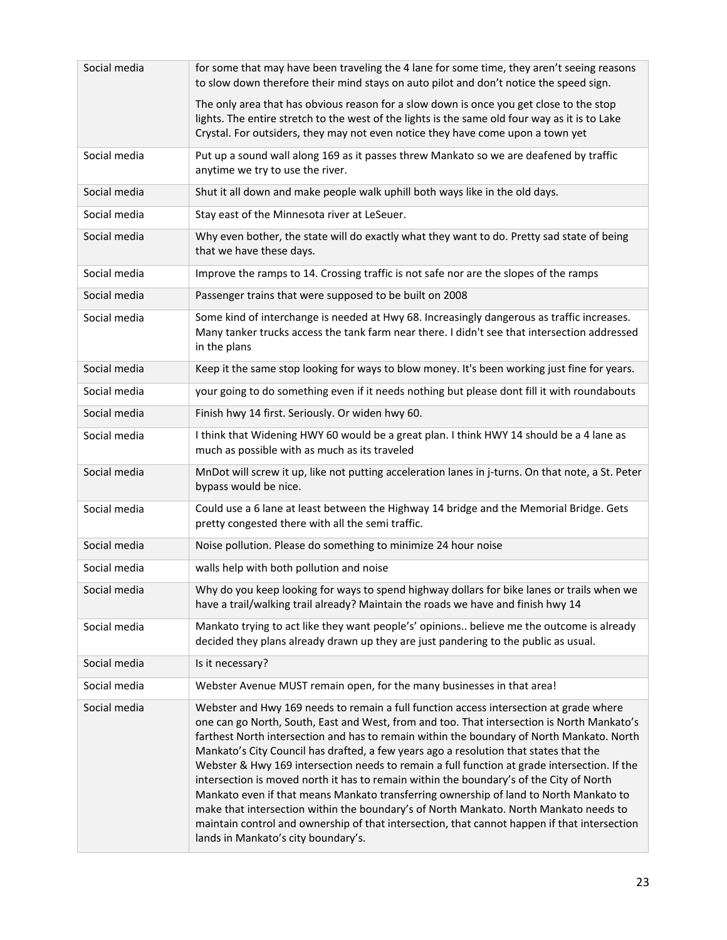| Social media | for some that may have been traveling the 4 lane for some time, they aren't seeing reasons<br>to slow down therefore their mind stays on auto pilot and don't notice the speed sign.                                                                                                                                                                                                                                                                                                                                                                                                                                                                                                                                                                                                                                                                                                           |
|--------------|------------------------------------------------------------------------------------------------------------------------------------------------------------------------------------------------------------------------------------------------------------------------------------------------------------------------------------------------------------------------------------------------------------------------------------------------------------------------------------------------------------------------------------------------------------------------------------------------------------------------------------------------------------------------------------------------------------------------------------------------------------------------------------------------------------------------------------------------------------------------------------------------|
|              | The only area that has obvious reason for a slow down is once you get close to the stop<br>lights. The entire stretch to the west of the lights is the same old four way as it is to Lake<br>Crystal. For outsiders, they may not even notice they have come upon a town yet                                                                                                                                                                                                                                                                                                                                                                                                                                                                                                                                                                                                                   |
| Social media | Put up a sound wall along 169 as it passes threw Mankato so we are deafened by traffic<br>anytime we try to use the river.                                                                                                                                                                                                                                                                                                                                                                                                                                                                                                                                                                                                                                                                                                                                                                     |
| Social media | Shut it all down and make people walk uphill both ways like in the old days.                                                                                                                                                                                                                                                                                                                                                                                                                                                                                                                                                                                                                                                                                                                                                                                                                   |
| Social media | Stay east of the Minnesota river at LeSeuer.                                                                                                                                                                                                                                                                                                                                                                                                                                                                                                                                                                                                                                                                                                                                                                                                                                                   |
| Social media | Why even bother, the state will do exactly what they want to do. Pretty sad state of being<br>that we have these days.                                                                                                                                                                                                                                                                                                                                                                                                                                                                                                                                                                                                                                                                                                                                                                         |
| Social media | Improve the ramps to 14. Crossing traffic is not safe nor are the slopes of the ramps                                                                                                                                                                                                                                                                                                                                                                                                                                                                                                                                                                                                                                                                                                                                                                                                          |
| Social media | Passenger trains that were supposed to be built on 2008                                                                                                                                                                                                                                                                                                                                                                                                                                                                                                                                                                                                                                                                                                                                                                                                                                        |
| Social media | Some kind of interchange is needed at Hwy 68. Increasingly dangerous as traffic increases.<br>Many tanker trucks access the tank farm near there. I didn't see that intersection addressed<br>in the plans                                                                                                                                                                                                                                                                                                                                                                                                                                                                                                                                                                                                                                                                                     |
| Social media | Keep it the same stop looking for ways to blow money. It's been working just fine for years.                                                                                                                                                                                                                                                                                                                                                                                                                                                                                                                                                                                                                                                                                                                                                                                                   |
| Social media | your going to do something even if it needs nothing but please dont fill it with roundabouts                                                                                                                                                                                                                                                                                                                                                                                                                                                                                                                                                                                                                                                                                                                                                                                                   |
| Social media | Finish hwy 14 first. Seriously. Or widen hwy 60.                                                                                                                                                                                                                                                                                                                                                                                                                                                                                                                                                                                                                                                                                                                                                                                                                                               |
| Social media | I think that Widening HWY 60 would be a great plan. I think HWY 14 should be a 4 lane as<br>much as possible with as much as its traveled                                                                                                                                                                                                                                                                                                                                                                                                                                                                                                                                                                                                                                                                                                                                                      |
| Social media | MnDot will screw it up, like not putting acceleration lanes in j-turns. On that note, a St. Peter<br>bypass would be nice.                                                                                                                                                                                                                                                                                                                                                                                                                                                                                                                                                                                                                                                                                                                                                                     |
| Social media | Could use a 6 lane at least between the Highway 14 bridge and the Memorial Bridge. Gets<br>pretty congested there with all the semi traffic.                                                                                                                                                                                                                                                                                                                                                                                                                                                                                                                                                                                                                                                                                                                                                   |
| Social media | Noise pollution. Please do something to minimize 24 hour noise                                                                                                                                                                                                                                                                                                                                                                                                                                                                                                                                                                                                                                                                                                                                                                                                                                 |
| Social media | walls help with both pollution and noise                                                                                                                                                                                                                                                                                                                                                                                                                                                                                                                                                                                                                                                                                                                                                                                                                                                       |
| Social media | Why do you keep looking for ways to spend highway dollars for bike lanes or trails when we<br>have a trail/walking trail already? Maintain the roads we have and finish hwy 14                                                                                                                                                                                                                                                                                                                                                                                                                                                                                                                                                                                                                                                                                                                 |
| Social media | Mankato trying to act like they want people's' opinions believe me the outcome is already<br>decided they plans already drawn up they are just pandering to the public as usual.                                                                                                                                                                                                                                                                                                                                                                                                                                                                                                                                                                                                                                                                                                               |
| Social media | Is it necessary?                                                                                                                                                                                                                                                                                                                                                                                                                                                                                                                                                                                                                                                                                                                                                                                                                                                                               |
| Social media | Webster Avenue MUST remain open, for the many businesses in that area!                                                                                                                                                                                                                                                                                                                                                                                                                                                                                                                                                                                                                                                                                                                                                                                                                         |
| Social media | Webster and Hwy 169 needs to remain a full function access intersection at grade where<br>one can go North, South, East and West, from and too. That intersection is North Mankato's<br>farthest North intersection and has to remain within the boundary of North Mankato. North<br>Mankato's City Council has drafted, a few years ago a resolution that states that the<br>Webster & Hwy 169 intersection needs to remain a full function at grade intersection. If the<br>intersection is moved north it has to remain within the boundary's of the City of North<br>Mankato even if that means Mankato transferring ownership of land to North Mankato to<br>make that intersection within the boundary's of North Mankato. North Mankato needs to<br>maintain control and ownership of that intersection, that cannot happen if that intersection<br>lands in Mankato's city boundary's. |